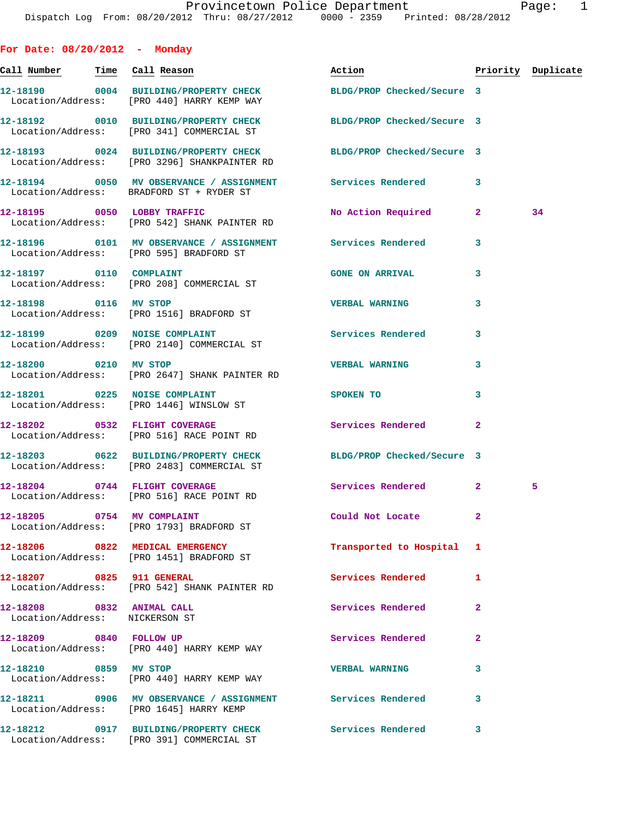| For Date: 08/20/2012 - Monday                               |                                                                                                                  |                            |                |                    |
|-------------------------------------------------------------|------------------------------------------------------------------------------------------------------------------|----------------------------|----------------|--------------------|
| <u>Call Number — Time Call Reason</u>                       |                                                                                                                  | Action                     |                | Priority Duplicate |
|                                                             | 12-18190 0004 BUILDING/PROPERTY CHECK BLDG/PROP Checked/Secure 3<br>Location/Address: [PRO 440] HARRY KEMP WAY   |                            |                |                    |
|                                                             | 12-18192 0010 BUILDING/PROPERTY CHECK BLDG/PROP Checked/Secure 3<br>Location/Address: [PRO 341] COMMERCIAL ST    |                            |                |                    |
|                                                             | 12-18193 0024 BUILDING/PROPERTY CHECK BLDG/PROP Checked/Secure 3<br>Location/Address: [PRO 3296] SHANKPAINTER RD |                            |                |                    |
|                                                             | 12-18194 0050 MV OBSERVANCE / ASSIGNMENT Services Rendered<br>Location/Address: BRADFORD ST + RYDER ST           |                            | 3              |                    |
|                                                             | 12-18195 0050 LOBBY TRAFFIC<br>Location/Address: [PRO 542] SHANK PAINTER RD                                      | No Action Required         | $\mathbf{2}$   | 34                 |
|                                                             | 12-18196   0101 MV OBSERVANCE / ASSIGNMENT   Services Rendered<br>Location/Address: [PRO 595] BRADFORD ST        |                            | 3              |                    |
| 12-18197 0110 COMPLAINT                                     | Location/Address: [PRO 208] COMMERCIAL ST                                                                        | <b>GONE ON ARRIVAL</b>     | 3              |                    |
|                                                             | 12-18198 0116 MV STOP<br>Location/Address: [PRO 1516] BRADFORD ST                                                | <b>VERBAL WARNING</b>      | 3              |                    |
|                                                             | 12-18199 0209 NOISE COMPLAINT<br>Location/Address: [PRO 2140] COMMERCIAL ST                                      | <b>Services Rendered</b>   | 3              |                    |
| 12-18200 0210 MV STOP                                       | Location/Address: [PRO 2647] SHANK PAINTER RD                                                                    | <b>VERBAL WARNING</b>      | 3              |                    |
|                                                             | 12-18201 0225 NOISE COMPLAINT<br>Location/Address: [PRO 1446] WINSLOW ST                                         | SPOKEN TO                  | 3              |                    |
|                                                             | 12-18202 0532 FLIGHT COVERAGE<br>Location/Address: [PRO 516] RACE POINT RD                                       | Services Rendered          | $\overline{a}$ |                    |
|                                                             | 12-18203 0622 BUILDING/PROPERTY CHECK<br>Location/Address: [PRO 2483] COMMERCIAL ST                              | BLDG/PROP Checked/Secure 3 |                |                    |
|                                                             | 12-18204 0744 FLIGHT COVERAGE<br>Location/Address: [PRO 516] RACE POINT RD                                       | Services Rendered 2        |                | 5                  |
| 12-18205 0754 MV COMPLAINT                                  | Location/Address: [PRO 1793] BRADFORD ST                                                                         | Could Not Locate           | $\mathbf{2}$   |                    |
|                                                             | 12-18206 0822 MEDICAL EMERGENCY<br>Location/Address: [PRO 1451] BRADFORD ST                                      | Transported to Hospital    | 1              |                    |
| 12-18207 0825 911 GENERAL                                   | Location/Address: [PRO 542] SHANK PAINTER RD                                                                     | Services Rendered          | 1              |                    |
| 12-18208 0832 ANIMAL CALL<br>Location/Address: NICKERSON ST |                                                                                                                  | Services Rendered          | 2              |                    |
| 12-18209 0840 FOLLOW UP                                     | Location/Address: [PRO 440] HARRY KEMP WAY                                                                       | Services Rendered          | $\overline{a}$ |                    |
| 12-18210 0859 MV STOP                                       | Location/Address: [PRO 440] HARRY KEMP WAY                                                                       | <b>VERBAL WARNING</b>      | 3              |                    |
|                                                             | 12-18211 0906 MV OBSERVANCE / ASSIGNMENT Services Rendered<br>Location/Address: [PRO 1645] HARRY KEMP            |                            | 3              |                    |
|                                                             | 12-18212 0917 BUILDING/PROPERTY CHECK Services Rendered<br>Location/Address: [PRO 391] COMMERCIAL ST             |                            | 3              |                    |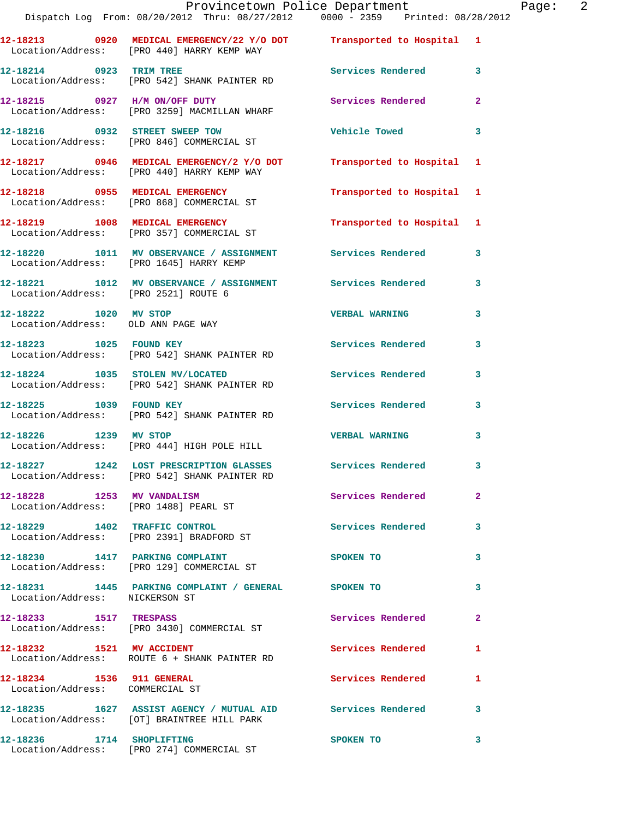|                                                              | Provincetown Police Department<br>Dispatch Log From: 08/20/2012 Thru: 08/27/2012 0000 - 2359 Printed: 08/28/2012   |                          |                |
|--------------------------------------------------------------|--------------------------------------------------------------------------------------------------------------------|--------------------------|----------------|
|                                                              | 12-18213 0920 MEDICAL EMERGENCY/22 Y/O DOT Transported to Hospital 1<br>Location/Address: [PRO 440] HARRY KEMP WAY |                          |                |
| 12-18214 0923 TRIM TREE                                      | Location/Address: [PRO 542] SHANK PAINTER RD                                                                       | Services Rendered        | 3              |
|                                                              | 12-18215 0927 H/M ON/OFF DUTY<br>Location/Address: [PRO 3259] MACMILLAN WHARF                                      | <b>Services Rendered</b> | $\overline{2}$ |
|                                                              | 12-18216 0932 STREET SWEEP TOW<br>Location/Address: [PRO 846] COMMERCIAL ST                                        | <b>Vehicle Towed</b>     | 3              |
|                                                              | 12-18217 0946 MEDICAL EMERGENCY/2 Y/O DOT Transported to Hospital<br>Location/Address: [PRO 440] HARRY KEMP WAY    |                          | 1              |
|                                                              | 12-18218 0955 MEDICAL EMERGENCY<br>Location/Address: [PRO 868] COMMERCIAL ST                                       | Transported to Hospital  | 1              |
|                                                              | 12-18219 1008 MEDICAL EMERGENCY<br>Location/Address: [PRO 357] COMMERCIAL ST                                       | Transported to Hospital  | 1              |
|                                                              | 12-18220 1011 MV OBSERVANCE / ASSIGNMENT Services Rendered<br>Location/Address: [PRO 1645] HARRY KEMP              |                          | 3              |
| Location/Address: [PRO 2521] ROUTE 6                         | 12-18221 1012 MV OBSERVANCE / ASSIGNMENT Services Rendered                                                         |                          | 3              |
| 12-18222 1020 MV STOP<br>Location/Address: OLD ANN PAGE WAY  |                                                                                                                    | <b>VERBAL WARNING</b>    | 3              |
| 12-18223 1025 FOUND KEY                                      | Location/Address: [PRO 542] SHANK PAINTER RD                                                                       | <b>Services Rendered</b> | 3              |
|                                                              | 12-18224 1035 STOLEN MV/LOCATED<br>Location/Address: [PRO 542] SHANK PAINTER RD                                    | Services Rendered        | 3              |
| 12-18225 1039 FOUND KEY                                      | Location/Address: [PRO 542] SHANK PAINTER RD                                                                       | Services Rendered        | 3              |
| 12-18226 1239 MV STOP                                        | Location/Address: [PRO 444] HIGH POLE HILL                                                                         | <b>VERBAL WARNING</b>    | 3              |
|                                                              | 12-18227 1242 LOST PRESCRIPTION GLASSES<br>Location/Address: [PRO 542] SHANK PAINTER RD                            | <b>Services Rendered</b> |                |
| 12-18228 1253 MV VANDALISM                                   | Location/Address: [PRO 1488] PEARL ST                                                                              | Services Rendered        | $\overline{a}$ |
|                                                              | 12-18229 1402 TRAFFIC CONTROL<br>Location/Address: [PRO 2391] BRADFORD ST                                          | <b>Services Rendered</b> | 3              |
|                                                              | 12-18230 1417 PARKING COMPLAINT<br>Location/Address: [PRO 129] COMMERCIAL ST                                       | SPOKEN TO                | 3              |
| Location/Address: NICKERSON ST                               | 12-18231 1445 PARKING COMPLAINT / GENERAL SPOKEN TO                                                                |                          | 3              |
| 12-18233 1517 TRESPASS                                       | Location/Address: [PRO 3430] COMMERCIAL ST                                                                         | Services Rendered        | $\mathbf{2}$   |
| 12-18232 1521 MV ACCIDENT                                    | Location/Address: ROUTE 6 + SHANK PAINTER RD                                                                       | <b>Services Rendered</b> | 1              |
| 12-18234 1536 911 GENERAL<br>Location/Address: COMMERCIAL ST |                                                                                                                    | Services Rendered        | 1              |
|                                                              | 12-18235 1627 ASSIST AGENCY / MUTUAL AID Services Rendered<br>Location/Address: [OT] BRAINTREE HILL PARK           |                          | 3              |
| 12-18236 1714 SHOPLIFTING                                    |                                                                                                                    | <b>SPOKEN TO</b>         | 3              |

Location/Address: [PRO 274] COMMERCIAL ST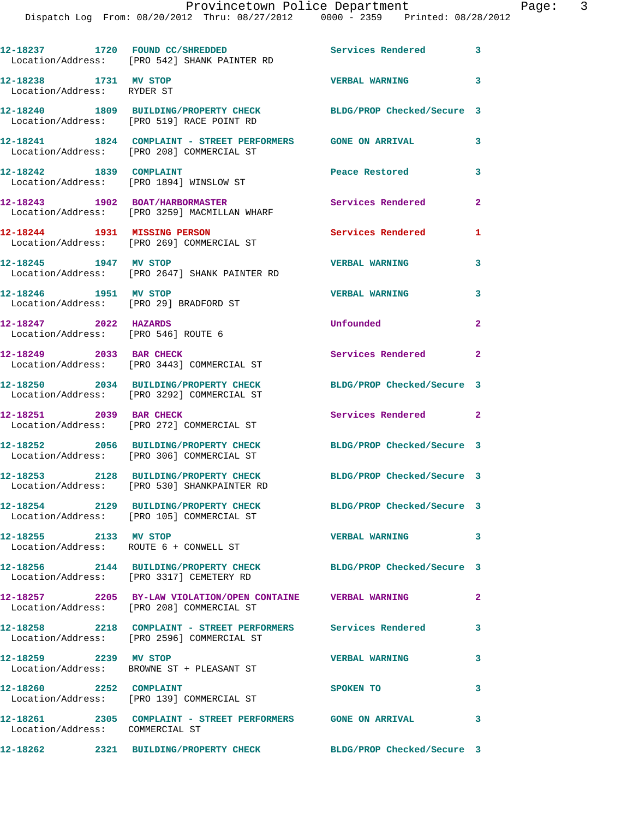|                                                              | 12-18237 1720 FOUND CC/SHREDDED<br>Location/Address: [PRO 542] SHANK PAINTER RD                              | Services Rendered          | 3                       |
|--------------------------------------------------------------|--------------------------------------------------------------------------------------------------------------|----------------------------|-------------------------|
| 12-18238 1731 MV STOP<br>Location/Address: RYDER ST          |                                                                                                              | <b>VERBAL WARNING</b>      | $\overline{\mathbf{3}}$ |
|                                                              | 12-18240 1809 BUILDING/PROPERTY CHECK<br>Location/Address: [PRO 519] RACE POINT RD                           | BLDG/PROP Checked/Secure 3 |                         |
|                                                              | 12-18241 1824 COMPLAINT - STREET PERFORMERS GONE ON ARRIVAL<br>Location/Address: [PRO 208] COMMERCIAL ST     |                            | 3                       |
| 12-18242 1839 COMPLAINT                                      | Location/Address: [PRO 1894] WINSLOW ST                                                                      | Peace Restored             | 3                       |
|                                                              | 12-18243 1902 BOAT/HARBORMASTER<br>Location/Address: [PRO 3259] MACMILLAN WHARF                              | Services Rendered          | $\mathbf{2}$            |
|                                                              | 12-18244 1931 MISSING PERSON<br>Location/Address: [PRO 269] COMMERCIAL ST                                    | Services Rendered          | 1                       |
| 12-18245 1947 MV STOP                                        | Location/Address: [PRO 2647] SHANK PAINTER RD                                                                | <b>VERBAL WARNING</b>      | 3                       |
| 12-18246 1951 MV STOP                                        | Location/Address: [PRO 29] BRADFORD ST                                                                       | <b>VERBAL WARNING</b>      | 3                       |
| 12-18247 2022 HAZARDS<br>Location/Address: [PRO 546] ROUTE 6 |                                                                                                              | Unfounded                  | $\mathbf{2}$            |
| 12-18249 2033 BAR CHECK                                      | Location/Address: [PRO 3443] COMMERCIAL ST                                                                   | Services Rendered 2        |                         |
|                                                              | 12-18250 2034 BUILDING/PROPERTY CHECK<br>Location/Address: [PRO 3292] COMMERCIAL ST                          | BLDG/PROP Checked/Secure 3 |                         |
| 12-18251 2039 BAR CHECK                                      | Location/Address: [PRO 272] COMMERCIAL ST                                                                    | Services Rendered 2        |                         |
|                                                              | 12-18252 2056 BUILDING/PROPERTY CHECK<br>Location/Address: [PRO 306] COMMERCIAL ST                           | BLDG/PROP Checked/Secure 3 |                         |
|                                                              | 12-18253 2128 BUILDING/PROPERTY CHECK<br>Location/Address: [PRO 530] SHANKPAINTER RD                         | BLDG/PROP Checked/Secure 3 |                         |
|                                                              | 12-18254 2129 BUILDING/PROPERTY CHECK<br>Location/Address: [PRO 105] COMMERCIAL ST                           | BLDG/PROP Checked/Secure 3 |                         |
| 12-18255 2133 MV STOP                                        | Location/Address: ROUTE 6 + CONWELL ST                                                                       | <b>VERBAL WARNING</b>      | 3                       |
|                                                              | 12-18256 2144 BUILDING/PROPERTY CHECK BLDG/PROP Checked/Secure 3<br>Location/Address: [PRO 3317] CEMETERY RD |                            |                         |
|                                                              | 12-18257 2205 BY-LAW VIOLATION/OPEN CONTAINE VERBAL WARNING<br>Location/Address: [PRO 208] COMMERCIAL ST     |                            | $\mathbf{2}$            |
|                                                              | 12-18258 2218 COMPLAINT - STREET PERFORMERS Services Rendered<br>Location/Address: [PRO 2596] COMMERCIAL ST  |                            | 3                       |
| 12-18259 2239 MV STOP                                        | Location/Address: BROWNE ST + PLEASANT ST                                                                    | <b>VERBAL WARNING</b>      | $\mathbf{3}$            |
| 12-18260 2252 COMPLAINT                                      | Location/Address: [PRO 139] COMMERCIAL ST                                                                    | SPOKEN TO                  | 3                       |
| Location/Address: COMMERCIAL ST                              | 12-18261 2305 COMPLAINT - STREET PERFORMERS GONE ON ARRIVAL                                                  |                            | 3                       |
|                                                              | 12-18262 2321 BUILDING/PROPERTY CHECK BLDG/PROP Checked/Secure 3                                             |                            |                         |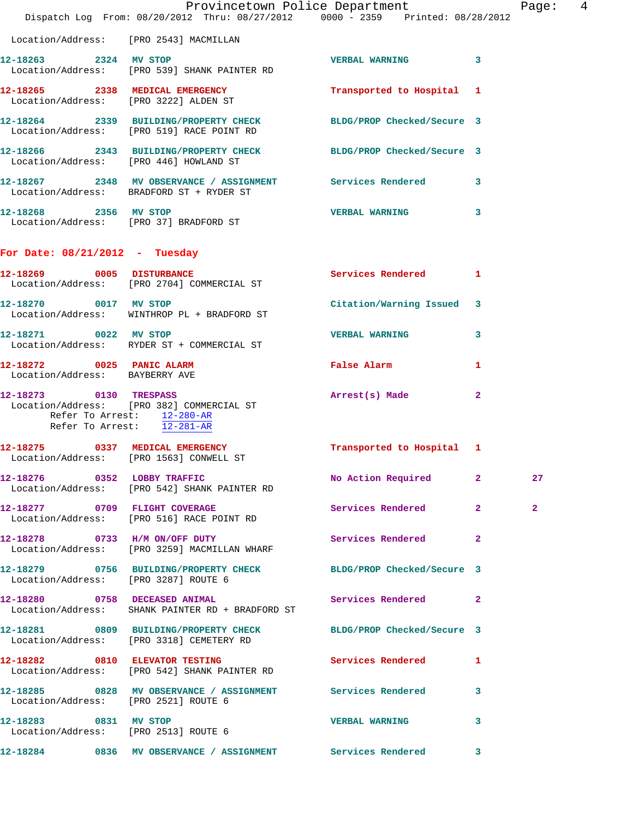|                                                             | Dispatch Log From: 08/20/2012 Thru: 08/27/2012 0000 - 2359 Printed: 08/28/2012                                | Provincetown Police Department Page: 4 |              |              |  |
|-------------------------------------------------------------|---------------------------------------------------------------------------------------------------------------|----------------------------------------|--------------|--------------|--|
|                                                             | Location/Address: [PRO 2543] MACMILLAN                                                                        |                                        |              |              |  |
| 12-18263 2324 MV STOP                                       | Location/Address: [PRO 539] SHANK PAINTER RD                                                                  | VERBAL WARNING 3                       |              |              |  |
|                                                             | 12-18265 2338 MEDICAL EMERGENCY<br>Location/Address: [PRO 3222] ALDEN ST                                      | Transported to Hospital 1              |              |              |  |
|                                                             | 12-18264 2339 BUILDING/PROPERTY CHECK BLDG/PROP Checked/Secure 3<br>Location/Address: [PRO 519] RACE POINT RD |                                        |              |              |  |
| Location/Address: [PRO 446] HOWLAND ST                      | 12-18266 2343 BUILDING/PROPERTY CHECK BLDG/PROP Checked/Secure 3                                              |                                        |              |              |  |
|                                                             | 12-18267 2348 MV OBSERVANCE / ASSIGNMENT Services Rendered 3<br>Location/Address: BRADFORD ST + RYDER ST      |                                        |              |              |  |
|                                                             | 12-18268 2356 MV STOP<br>Location/Address: [PRO 37] BRADFORD ST                                               | VERBAL WARNING 3                       |              |              |  |
| For Date: $08/21/2012$ - Tuesday                            |                                                                                                               |                                        |              |              |  |
|                                                             | 12-18269 0005 DISTURBANCE<br>Location/Address: [PRO 2704] COMMERCIAL ST                                       | Services Rendered 1                    |              |              |  |
| 12-18270 0017 MV STOP                                       | Location/Address: WINTHROP PL + BRADFORD ST                                                                   | Citation/Warning Issued 3              |              |              |  |
|                                                             | 12-18271 0022 MV STOP<br>Location/Address: RYDER ST + COMMERCIAL ST                                           | <b>VERBAL WARNING</b>                  | 3            |              |  |
| 12-18272 0025 PANIC ALARM<br>Location/Address: BAYBERRY AVE |                                                                                                               | False Alarm                            | 1            |              |  |
| Refer To Arrest: 12-281-AR                                  | 12-18273 0130 TRESPASS<br>Location/Address: [PRO 382] COMMERCIAL ST<br>Refer To Arrest: 12-280-AR             | Arrest(s) Made                         | $\mathbf{2}$ |              |  |
|                                                             | 12-18275 0337 MEDICAL EMERGENCY<br>Location/Address: [PRO 1563] CONWELL ST                                    | Transported to Hospital 1              |              |              |  |
|                                                             | 12-18276 0352 LOBBY TRAFFIC<br>Location/Address: [PRO 542] SHANK PAINTER RD                                   | No Action Required 2                   |              | 27           |  |
|                                                             | 12-18277 0709 FLIGHT COVERAGE<br>Location/Address: [PRO 516] RACE POINT RD                                    | Services Rendered 2                    |              | $\mathbf{2}$ |  |
|                                                             | 12-18278 0733 H/M ON/OFF DUTY<br>Location/Address: [PRO 3259] MACMILLAN WHARF                                 | Services Rendered 2                    |              |              |  |
| Location/Address: [PRO 3287] ROUTE 6                        | 12-18279 0756 BUILDING/PROPERTY CHECK BLDG/PROP Checked/Secure 3                                              |                                        |              |              |  |
|                                                             | 12-18280 0758 DECEASED ANIMAL<br>Location/Address: SHANK PAINTER RD + BRADFORD ST                             | Services Rendered 2                    |              |              |  |
|                                                             | 12-18281 0809 BUILDING/PROPERTY CHECK BLDG/PROP Checked/Secure 3<br>Location/Address: [PRO 3318] CEMETERY RD  |                                        |              |              |  |
|                                                             | 12-18282 0810 ELEVATOR TESTING<br>Location/Address: [PRO 542] SHANK PAINTER RD                                | Services Rendered 1                    |              |              |  |
| Location/Address: [PRO 2521] ROUTE 6                        | 12-18285 0828 MV OBSERVANCE / ASSIGNMENT Services Rendered 3                                                  |                                        |              |              |  |
| 12-18283 0831 MV STOP                                       | Location/Address: [PRO 2513] ROUTE 6                                                                          | VERBAL WARNING 3                       |              |              |  |
|                                                             | 12-18284 0836 MV OBSERVANCE / ASSIGNMENT Services Rendered 3                                                  |                                        |              |              |  |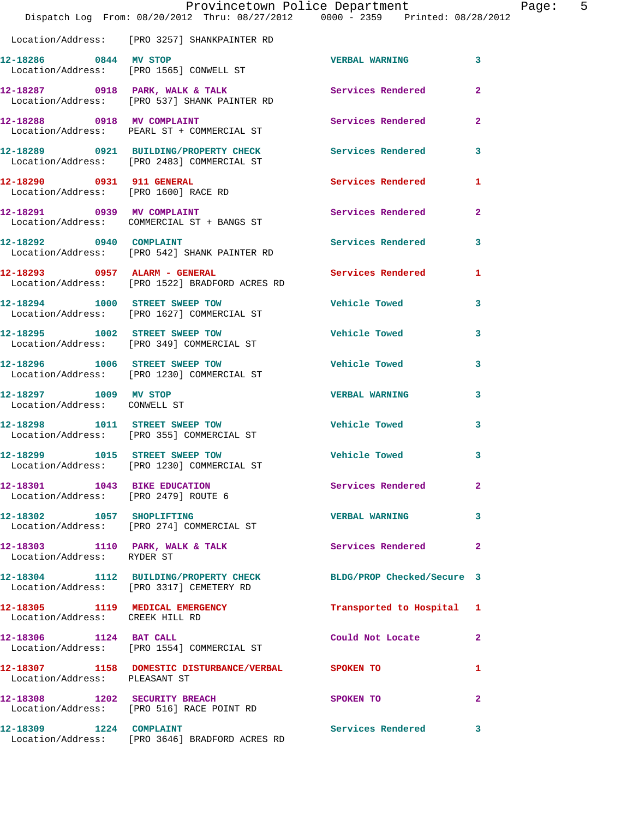|                                                       | Provincetown Police Department<br>Dispatch Log From: 08/20/2012 Thru: 08/27/2012 0000 - 2359 Printed: 08/28/2012 |                          |                |
|-------------------------------------------------------|------------------------------------------------------------------------------------------------------------------|--------------------------|----------------|
|                                                       | Location/Address: [PRO 3257] SHANKPAINTER RD                                                                     |                          |                |
| 12-18286 0844 MV STOP                                 | Location/Address: [PRO 1565] CONWELL ST                                                                          | <b>VERBAL WARNING</b>    | 3              |
|                                                       | 12-18287 0918 PARK, WALK & TALK<br>Location/Address: [PRO 537] SHANK PAINTER RD                                  | <b>Services Rendered</b> | $\mathbf{2}$   |
|                                                       | 12-18288 0918 MV COMPLAINT<br>Location/Address: PEARL ST + COMMERCIAL ST                                         | Services Rendered        | $\overline{a}$ |
|                                                       | 12-18289 0921 BUILDING/PROPERTY CHECK Services Rendered<br>Location/Address: [PRO 2483] COMMERCIAL ST            |                          | 3              |
| 12-18290 0931 911 GENERAL                             | Location/Address: [PRO 1600] RACE RD                                                                             | <b>Services Rendered</b> | 1              |
|                                                       | 12-18291 0939 MV COMPLAINT<br>Location/Address: COMMERCIAL ST + BANGS ST                                         | <b>Services Rendered</b> | $\mathbf{2}$   |
| 12-18292 0940 COMPLAINT                               | Location/Address: [PRO 542] SHANK PAINTER RD                                                                     | <b>Services Rendered</b> | 3              |
|                                                       | 12-18293 0957 ALARM - GENERAL<br>Location/Address: [PRO 1522] BRADFORD ACRES RD                                  | Services Rendered        | 1              |
|                                                       | 12-18294 1000 STREET SWEEP TOW<br>Location/Address: [PRO 1627] COMMERCIAL ST                                     | <b>Vehicle Towed</b>     | 3              |
|                                                       | 12-18295 1002 STREET SWEEP TOW<br>Location/Address: [PRO 349] COMMERCIAL ST                                      | <b>Vehicle Towed</b>     | 3              |
|                                                       | 12-18296 1006 STREET SWEEP TOW<br>Location/Address: [PRO 1230] COMMERCIAL ST                                     | <b>Vehicle Towed</b>     | 3              |
| 12-18297 1009 MV STOP<br>Location/Address: CONWELL ST |                                                                                                                  | <b>VERBAL WARNING</b>    | 3              |
|                                                       | 12-18298 1011 STREET SWEEP TOW<br>Location/Address: [PRO 355] COMMERCIAL ST                                      | <b>Vehicle Towed</b>     | 3              |
| 12-18299 1015 STREET SWEEP TOW                        | Location/Address: [PRO 1230] COMMERCIAL ST                                                                       | Vehicle Towed            | 3              |
| 12-18301 1043 BIKE EDUCATION                          | Location/Address: [PRO 2479] ROUTE 6                                                                             | Services Rendered        | $\mathbf{2}$   |
|                                                       | 12-18302 1057 SHOPLIFTING<br>Location/Address: [PRO 274] COMMERCIAL ST                                           | <b>VERBAL WARNING</b>    | 3              |
| Location/Address: RYDER ST                            | 12-18303 1110 PARK, WALK & TALK                                                                                  | <b>Services Rendered</b> | $\mathbf{2}$   |
|                                                       | 12-18304 1112 BUILDING/PROPERTY CHECK BLDG/PROP Checked/Secure 3<br>Location/Address: [PRO 3317] CEMETERY RD     |                          |                |
| Location/Address: CREEK HILL RD                       | 12-18305 1119 MEDICAL EMERGENCY                                                                                  | Transported to Hospital  | 1              |
| 12-18306 1124 BAT CALL                                | Location/Address: [PRO 1554] COMMERCIAL ST                                                                       | Could Not Locate         | 2              |
| Location/Address: PLEASANT ST                         | 12-18307 1158 DOMESTIC DISTURBANCE/VERBAL SPOKEN TO                                                              |                          | 1              |
|                                                       | 12-18308 1202 SECURITY BREACH<br>Location/Address: [PRO 516] RACE POINT RD                                       | SPOKEN TO                | 2              |
| 12-18309 1224 COMPLAINT                               | Location/Address: [PRO 3646] BRADFORD ACRES RD                                                                   | <b>Services Rendered</b> | 3              |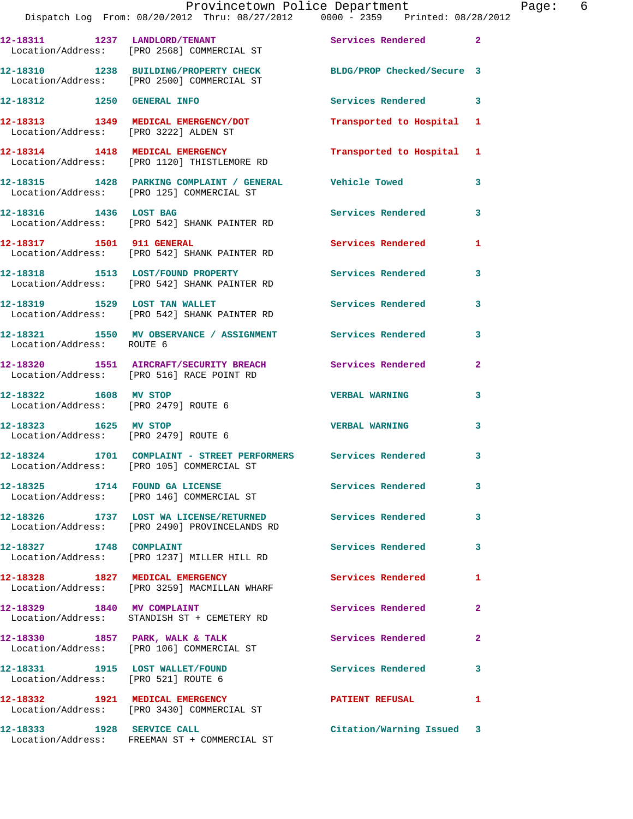|                                                               | Dispatch Log From: 08/20/2012 Thru: 08/27/2012   0000 - 2359   Printed: 08/28/2012                             | Provincetown Police Department |              | Page: 6 |  |
|---------------------------------------------------------------|----------------------------------------------------------------------------------------------------------------|--------------------------------|--------------|---------|--|
|                                                               | 12-18311 1237 LANDLORD/TENANT Services Rendered 2<br>Location/Address: [PRO 2568] COMMERCIAL ST                |                                |              |         |  |
|                                                               | 12-18310 1238 BUILDING/PROPERTY CHECK BLDG/PROP Checked/Secure 3<br>Location/Address: [PRO 2500] COMMERCIAL ST |                                |              |         |  |
| 12-18312 1250 GENERAL INFO                                    |                                                                                                                | Services Rendered 3            |              |         |  |
| Location/Address: [PRO 3222] ALDEN ST                         | 12-18313 1349 MEDICAL EMERGENCY/DOT                                                                            | Transported to Hospital 1      |              |         |  |
|                                                               | 12-18314 1418 MEDICAL EMERGENCY<br>Location/Address: [PRO 1120] THISTLEMORE RD                                 | Transported to Hospital 1      |              |         |  |
|                                                               | 12-18315 1428 PARKING COMPLAINT / GENERAL Vehicle Towed 3<br>Location/Address: [PRO 125] COMMERCIAL ST         |                                |              |         |  |
|                                                               | 12-18316 1436 LOST BAG<br>Location/Address: [PRO 542] SHANK PAINTER RD                                         | Services Rendered 3            |              |         |  |
|                                                               | 12-18317 1501 911 GENERAL<br>Location/Address: [PRO 542] SHANK PAINTER RD                                      | Services Rendered 1            |              |         |  |
|                                                               | 12-18318 1513 LOST/FOUND PROPERTY<br>Location/Address: [PRO 542] SHANK PAINTER RD                              | Services Rendered              | 3            |         |  |
|                                                               | 12-18319 1529 LOST TAN WALLET Services Rendered 3<br>Location/Address: [PRO 542] SHANK PAINTER RD              |                                |              |         |  |
| Location/Address: ROUTE 6                                     | 12-18321 1550 MV OBSERVANCE / ASSIGNMENT Services Rendered                                                     |                                | $\mathbf{3}$ |         |  |
|                                                               | 12-18320 1551 AIRCRAFT/SECURITY BREACH Services Rendered<br>Location/Address: [PRO 516] RACE POINT RD          |                                | $\mathbf{2}$ |         |  |
| Location/Address: [PRO 2479] ROUTE 6                          | 12-18322 1608 MV STOP                                                                                          | <b>VERBAL WARNING</b>          | 3            |         |  |
| 12-18323 1625 MV STOP<br>Location/Address: [PRO 2479] ROUTE 6 |                                                                                                                | <b>VERBAL WARNING</b>          | 3            |         |  |
|                                                               | 12-18324 1701 COMPLAINT - STREET PERFORMERS Services Rendered 3<br>Location/Address: [PRO 105] COMMERCIAL ST   |                                |              |         |  |
|                                                               | 12-18325 1714 FOUND GA LICENSE<br>Location/Address: [PRO 146] COMMERCIAL ST                                    | Services Rendered 3            |              |         |  |
|                                                               | 12-18326 1737 LOST WA LICENSE/RETURNED Services Rendered 3<br>Location/Address: [PRO 2490] PROVINCELANDS RD    |                                |              |         |  |
| 12-18327 1748 COMPLAINT                                       | Location/Address: [PRO 1237] MILLER HILL RD                                                                    | Services Rendered 3            |              |         |  |
|                                                               | 12-18328 1827 MEDICAL EMERGENCY<br>Location/Address: [PRO 3259] MACMILLAN WHARF                                | Services Rendered              | $\mathbf{1}$ |         |  |
| 12-18329 1840 MV COMPLAINT                                    | Location/Address: STANDISH ST + CEMETERY RD                                                                    | Services Rendered 2            |              |         |  |
|                                                               | 12-18330 1857 PARK, WALK & TALK<br>Location/Address: [PRO 106] COMMERCIAL ST                                   | Services Rendered              | $\mathbf{2}$ |         |  |
| Location/Address: [PRO 521] ROUTE 6                           | 12-18331 1915 LOST WALLET/FOUND                                                                                | Services Rendered 3            |              |         |  |
|                                                               | 12-18332 1921 MEDICAL EMERGENCY<br>Location/Address: [PRO 3430] COMMERCIAL ST                                  | PATIENT REFUSAL 1              |              |         |  |
| 12-18333 1928 SERVICE CALL                                    | Location/Address: FREEMAN ST + COMMERCIAL ST                                                                   | Citation/Warning Issued 3      |              |         |  |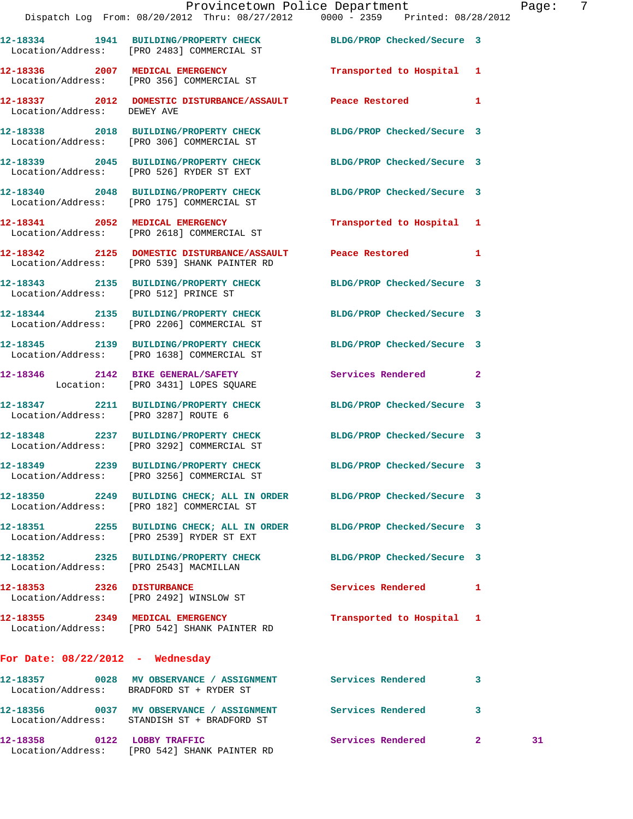|                                      | Dispatch Log From: 08/20/2012 Thru: 08/27/2012 0000 - 2359 Printed: 08/28/2012                                       | Provincetown Police Department |              | Page: 7 |  |
|--------------------------------------|----------------------------------------------------------------------------------------------------------------------|--------------------------------|--------------|---------|--|
|                                      | 12-18334 1941 BUILDING/PROPERTY CHECK BLDG/PROP Checked/Secure 3<br>Location/Address: [PRO 2483] COMMERCIAL ST       |                                |              |         |  |
|                                      | 12-18336 2007 MEDICAL EMERGENCY<br>Location/Address: [PRO 356] COMMERCIAL ST                                         | Transported to Hospital 1      |              |         |  |
| Location/Address: DEWEY AVE          | 12-18337 2012 DOMESTIC DISTURBANCE/ASSAULT Peace Restored 1                                                          |                                |              |         |  |
|                                      | 12-18338 2018 BUILDING/PROPERTY CHECK BLDG/PROP Checked/Secure 3<br>Location/Address: [PRO 306] COMMERCIAL ST        |                                |              |         |  |
|                                      | 12-18339 2045 BUILDING/PROPERTY CHECK BLDG/PROP Checked/Secure 3<br>Location/Address: [PRO 526] RYDER ST EXT         |                                |              |         |  |
|                                      | 12-18340 2048 BUILDING/PROPERTY CHECK BLDG/PROP Checked/Secure 3<br>Location/Address: [PRO 175] COMMERCIAL ST        |                                |              |         |  |
|                                      | 12-18341 2052 MEDICAL EMERGENCY<br>Location/Address: [PRO 2618] COMMERCIAL ST                                        | Transported to Hospital 1      |              |         |  |
|                                      | 12-18342 2125 DOMESTIC DISTURBANCE/ASSAULT Peace Restored 1<br>Location/Address: [PRO 539] SHANK PAINTER RD          |                                |              |         |  |
|                                      | 12-18343 2135 BUILDING/PROPERTY CHECK BLDG/PROP Checked/Secure 3<br>Location/Address: [PRO 512] PRINCE ST            |                                |              |         |  |
|                                      | 12-18344 2135 BUILDING/PROPERTY CHECK BLDG/PROP Checked/Secure 3<br>Location/Address: [PRO 2206] COMMERCIAL ST       |                                |              |         |  |
|                                      | 12-18345 2139 BUILDING/PROPERTY CHECK BLDG/PROP Checked/Secure 3<br>Location/Address: [PRO 1638] COMMERCIAL ST       |                                |              |         |  |
|                                      | 12-18346 2142 BIKE GENERAL/SAFETY<br>Location: [PRO 3431] LOPES SQUARE                                               | Services Rendered              | $\mathbf{2}$ |         |  |
| Location/Address: [PRO 3287] ROUTE 6 | 12-18347 2211 BUILDING/PROPERTY CHECK BLDG/PROP Checked/Secure 3                                                     |                                |              |         |  |
|                                      | 12-18348 2237 BUILDING/PROPERTY CHECK BLDG/PROP Checked/Secure 3<br>Location/Address: [PRO 3292] COMMERCIAL ST       |                                |              |         |  |
|                                      | 12-18349 2239 BUILDING/PROPERTY CHECK<br>Location/Address: [PRO 3256] COMMERCIAL ST                                  | BLDG/PROP Checked/Secure 3     |              |         |  |
|                                      | 12-18350 2249 BUILDING CHECK; ALL IN ORDER BLDG/PROP Checked/Secure 3<br>Location/Address: [PRO 182] COMMERCIAL ST   |                                |              |         |  |
|                                      | 12-18351  2255  BUILDING CHECK; ALL IN ORDER BLDG/PROP Checked/Secure 3<br>Location/Address: [PRO 2539] RYDER ST EXT |                                |              |         |  |
|                                      | 12-18352 2325 BUILDING/PROPERTY CHECK BLDG/PROP Checked/Secure 3<br>Location/Address: [PRO 2543] MACMILLAN           |                                |              |         |  |
|                                      | 12-18353 2326 DISTURBANCE<br>Location/Address: [PRO 2492] WINSLOW ST                                                 | Services Rendered 1            |              |         |  |
|                                      | 12-18355 2349 MEDICAL EMERGENCY<br>Location/Address: [PRO 542] SHANK PAINTER RD                                      | Transported to Hospital 1      |              |         |  |
| For Date: $08/22/2012$ - Wednesday   |                                                                                                                      |                                |              |         |  |
|                                      | Location/Address: BRADFORD ST + RYDER ST                                                                             |                                | 3            |         |  |
|                                      | 12-18356 0037 MV OBSERVANCE / ASSIGNMENT Services Rendered 3<br>Location/Address: STANDISH ST + BRADFORD ST          |                                |              |         |  |
| 12-18358 0122 LOBBY TRAFFIC          |                                                                                                                      | Services Rendered 2            |              | 31      |  |

Location/Address: [PRO 542] SHANK PAINTER RD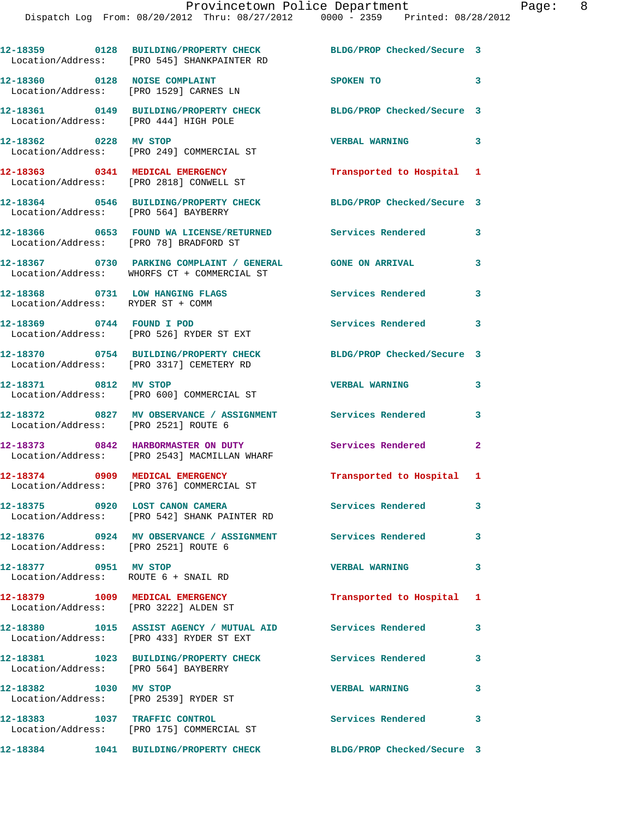|                                                                          | 12-18359 0128 BUILDING/PROPERTY CHECK<br>Location/Address: [PRO 545] SHANKPAINTER RD                                                       | BLDG/PROP Checked/Secure 3 |   |
|--------------------------------------------------------------------------|--------------------------------------------------------------------------------------------------------------------------------------------|----------------------------|---|
| 12-18360 0128 NOISE COMPLAINT<br>Location/Address: [PRO 1529] CARNES LN  |                                                                                                                                            | SPOKEN TO                  | 3 |
| Location/Address: [PRO 444] HIGH POLE                                    | 12-18361 0149 BUILDING/PROPERTY CHECK                                                                                                      | BLDG/PROP Checked/Secure 3 |   |
| 12-18362 0228 MV STOP                                                    | Location/Address: [PRO 249] COMMERCIAL ST                                                                                                  | <b>VERBAL WARNING</b>      | 3 |
|                                                                          | 12-18363 0341 MEDICAL EMERGENCY<br>Location/Address: [PRO 2818] CONWELL ST                                                                 | Transported to Hospital 1  |   |
| Location/Address: [PRO 564] BAYBERRY                                     | 12-18364 0546 BUILDING/PROPERTY CHECK                                                                                                      | BLDG/PROP Checked/Secure 3 |   |
| Location/Address: [PRO 78] BRADFORD ST                                   | 12-18366 6 0653 FOUND WA LICENSE/RETURNED Services Rendered                                                                                |                            | 3 |
|                                                                          | 12-18367                0730     PARKING COMPLAINT / GENERAL                GONE ON ARRIVAL<br>Location/Address: WHORFS CT + COMMERCIAL ST |                            | 3 |
| 12-18368 0731 LOW HANGING FLAGS<br>Location/Address: RYDER ST + COMM     |                                                                                                                                            | Services Rendered          | 3 |
| 12-18369 0744 FOUND I POD                                                | Location/Address: [PRO 526] RYDER ST EXT                                                                                                   | Services Rendered          | 3 |
|                                                                          | 12-18370 0754 BUILDING/PROPERTY CHECK<br>Location/Address: [PRO 3317] CEMETERY RD                                                          | BLDG/PROP Checked/Secure 3 |   |
| 12-18371 0812 MV STOP                                                    | Location/Address: [PRO 600] COMMERCIAL ST                                                                                                  | <b>VERBAL WARNING</b>      | 3 |
| Location/Address: [PRO 2521] ROUTE 6                                     | 12-18372 0827 MV OBSERVANCE / ASSIGNMENT Services Rendered                                                                                 |                            | 3 |
|                                                                          | 12-18373 0842 HARBORMASTER ON DUTY<br>Location/Address: [PRO 2543] MACMILLAN WHARF                                                         | <b>Services Rendered</b> 2 |   |
|                                                                          | 12-18374 0909 MEDICAL EMERGENCY<br>Location/Address: [PRO 376] COMMERCIAL ST                                                               | Transported to Hospital 1  |   |
|                                                                          | 12-18375 0920 LOST CANON CAMERA<br>Location/Address: [PRO 542] SHANK PAINTER RD                                                            | Services Rendered          | 3 |
| Location/Address: [PRO 2521] ROUTE 6                                     | 12-18376 0924 MV OBSERVANCE / ASSIGNMENT Services Rendered 3                                                                               |                            |   |
| 12-18377 0951 MV STOP<br>Location/Address: ROUTE 6 + SNAIL RD            |                                                                                                                                            | <b>VERBAL WARNING</b>      | 3 |
| 12-18379 1009 MEDICAL EMERGENCY<br>Location/Address: [PRO 3222] ALDEN ST |                                                                                                                                            | Transported to Hospital 1  |   |
|                                                                          | 12-18380 1015 ASSIST AGENCY / MUTUAL AID Services Rendered<br>Location/Address: [PRO 433] RYDER ST EXT                                     |                            | 3 |
| Location/Address: [PRO 564] BAYBERRY                                     | 12-18381 1023 BUILDING/PROPERTY CHECK                                                                                                      | <b>Services Rendered</b>   | 3 |
| 12-18382 1030 MV STOP                                                    | Location/Address: [PRO 2539] RYDER ST                                                                                                      | <b>VERBAL WARNING</b>      | 3 |
|                                                                          | 12-18383 1037 TRAFFIC CONTROL<br>Location/Address: [PRO 175] COMMERCIAL ST                                                                 | Services Rendered 3        |   |
|                                                                          | 12-18384 1041 BUILDING/PROPERTY CHECK BLDG/PROP Checked/Secure 3                                                                           |                            |   |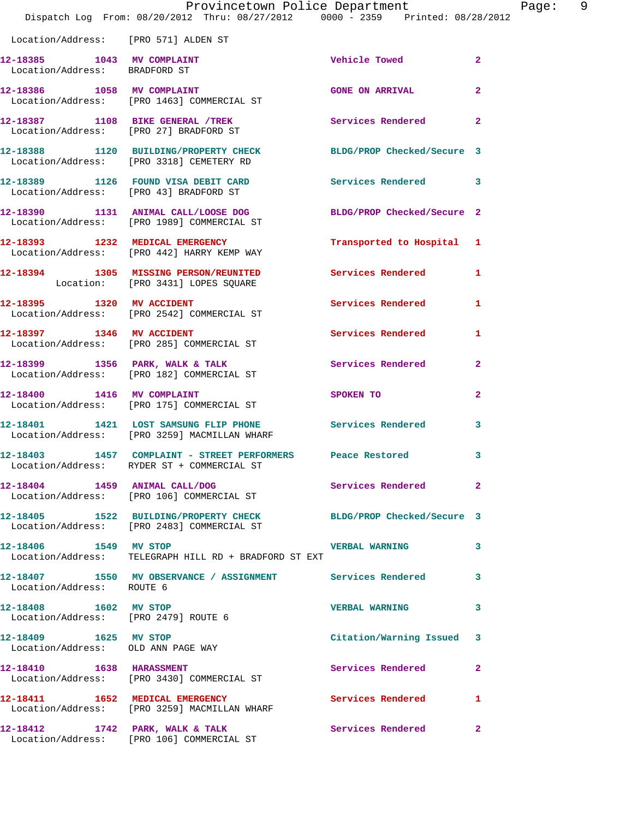|                                                                | Provincetown Police Department<br>Dispatch Log From: 08/20/2012 Thru: 08/27/2012 0000 - 2359 Printed: 08/28/2012 |                                                                                                                                                                                                                               | Page: 9        |
|----------------------------------------------------------------|------------------------------------------------------------------------------------------------------------------|-------------------------------------------------------------------------------------------------------------------------------------------------------------------------------------------------------------------------------|----------------|
| Location/Address: [PRO 571] ALDEN ST                           |                                                                                                                  |                                                                                                                                                                                                                               |                |
| Location/Address: BRADFORD ST                                  | 12-18385 1043 MV COMPLAINT                                                                                       | Vehicle Towed                                                                                                                                                                                                                 | $\overline{2}$ |
|                                                                | 12-18386 1058 MV COMPLAINT<br>Location/Address: [PRO 1463] COMMERCIAL ST                                         | <b>GONE ON ARRIVAL</b>                                                                                                                                                                                                        | $\mathbf{2}$   |
|                                                                | 12-18387 1108 BIKE GENERAL /TREK 11 Services Rendered 2<br>Location/Address: [PRO 27] BRADFORD ST                |                                                                                                                                                                                                                               |                |
|                                                                | 12-18388 1120 BUILDING/PROPERTY CHECK BLDG/PROP Checked/Secure 3<br>Location/Address: [PRO 3318] CEMETERY RD     |                                                                                                                                                                                                                               |                |
|                                                                | 12-18389 1126 FOUND VISA DEBIT CARD Services Rendered 3<br>Location/Address: [PRO 43] BRADFORD ST                |                                                                                                                                                                                                                               |                |
|                                                                | 12-18390 1131 ANIMAL CALL/LOOSE DOG BLDG/PROP Checked/Secure 2<br>Location/Address: [PRO 1989] COMMERCIAL ST     |                                                                                                                                                                                                                               |                |
|                                                                | 12-18393 1232 MEDICAL EMERGENCY<br>Location/Address: [PRO 442] HARRY KEMP WAY                                    | Transported to Hospital 1                                                                                                                                                                                                     |                |
|                                                                | 12-18394 1305 MISSING PERSON/REUNITED Services Rendered 1<br>Location: [PRO 3431] LOPES SQUARE                   |                                                                                                                                                                                                                               |                |
|                                                                | 12-18395 1320 MV ACCIDENT<br>Location/Address: [PRO 2542] COMMERCIAL ST                                          | Services Rendered 1                                                                                                                                                                                                           |                |
|                                                                | 12-18397 1346 MV ACCIDENT<br>Location/Address: [PRO 285] COMMERCIAL ST                                           | Services Rendered                                                                                                                                                                                                             | 1              |
|                                                                | 12-18399 1356 PARK, WALK & TALK 1988 Services Rendered 2<br>Location/Address: [PRO 182] COMMERCIAL ST            |                                                                                                                                                                                                                               |                |
|                                                                | 12-18400 1416 MV COMPLAINT<br>Location/Address: [PRO 175] COMMERCIAL ST                                          | SPOKEN TO THE STATE OF THE STATE OF THE STATE OF THE STATE OF THE STATE OF THE STATE OF THE STATE OF THE STATE OF THE STATE OF THE STATE OF THE STATE OF THE STATE OF THE STATE OF THE STATE OF THE STATE OF THE STATE OF THE | $\overline{a}$ |
|                                                                | 12-18401 1421 LOST SAMSUNG FLIP PHONE Services Rendered 3<br>Location/Address: [PRO 3259] MACMILLAN WHARF        |                                                                                                                                                                                                                               |                |
|                                                                | 12-18403 1457 COMPLAINT - STREET PERFORMERS Peace Restored<br>Location/Address: RYDER ST + COMMERCIAL ST         |                                                                                                                                                                                                                               | 3              |
|                                                                | 12-18404 1459 ANIMAL CALL/DOG<br>Location/Address: [PRO 106] COMMERCIAL ST                                       | Services Rendered 2                                                                                                                                                                                                           |                |
|                                                                | 12-18405 1522 BUILDING/PROPERTY CHECK BLDG/PROP Checked/Secure 3<br>Location/Address: [PRO 2483] COMMERCIAL ST   |                                                                                                                                                                                                                               |                |
| 12-18406 1549 MV STOP                                          | Location/Address: TELEGRAPH HILL RD + BRADFORD ST EXT                                                            | <b>VERBAL WARNING</b>                                                                                                                                                                                                         | 3              |
| Location/Address: ROUTE 6                                      | 12-18407 1550 MV OBSERVANCE / ASSIGNMENT Services Rendered                                                       |                                                                                                                                                                                                                               | 3              |
| 12-18408 1602 MV STOP<br>Location/Address: [PRO 2479] ROUTE 6  |                                                                                                                  | VERBAL WARNING 3                                                                                                                                                                                                              |                |
| 12-18409    1625 MV STOP<br>Location/Address: OLD ANN PAGE WAY |                                                                                                                  | Citation/Warning Issued 3                                                                                                                                                                                                     |                |
| 12-18410 1638 HARASSMENT                                       | Location/Address: [PRO 3430] COMMERCIAL ST                                                                       | Services Rendered 2                                                                                                                                                                                                           |                |
|                                                                | 12-18411 1652 MEDICAL EMERGENCY<br>Location/Address: [PRO 3259] MACMILLAN WHARF                                  | Services Rendered                                                                                                                                                                                                             | 1              |
|                                                                | $12-18412$ $1742$ PARK, WALK & TALK                                                                              | Services Rendered 2                                                                                                                                                                                                           |                |

Location/Address: [PRO 106] COMMERCIAL ST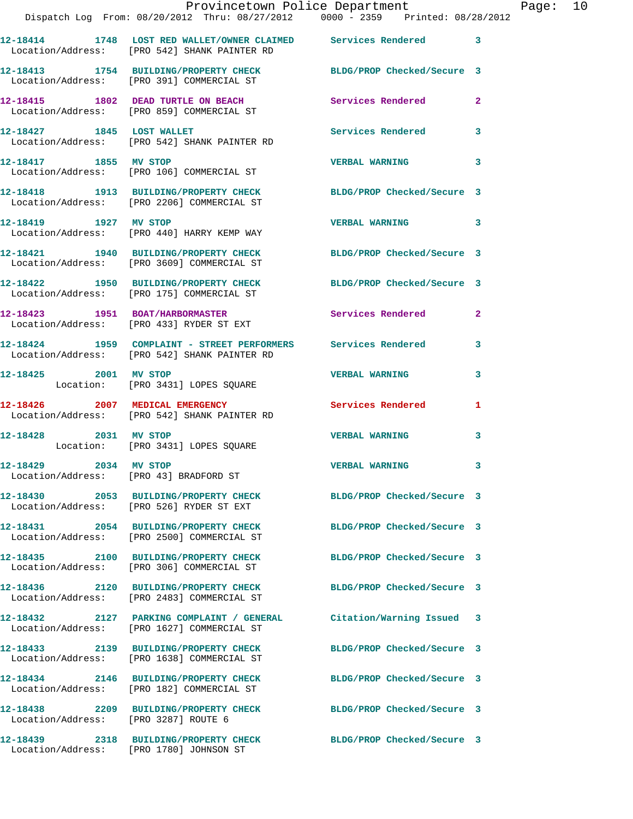|                                                                 | Provincetown Police Department<br>Dispatch Log From: 08/20/2012 Thru: 08/27/2012 0000 - 2359 Printed: 08/28/2012 |                            |                |
|-----------------------------------------------------------------|------------------------------------------------------------------------------------------------------------------|----------------------------|----------------|
|                                                                 | 12-18414 1748 LOST RED WALLET/OWNER CLAIMED Services Rendered<br>Location/Address: [PRO 542] SHANK PAINTER RD    |                            | 3              |
|                                                                 | 12-18413 1754 BUILDING/PROPERTY CHECK BLDG/PROP Checked/Secure 3<br>Location/Address: [PRO 391] COMMERCIAL ST    |                            |                |
|                                                                 | 12-18415 1802 DEAD TURTLE ON BEACH<br>Location/Address: [PRO 859] COMMERCIAL ST                                  | <b>Services Rendered</b>   | $\mathbf{2}$   |
|                                                                 | 12-18427 1845 LOST WALLET<br>Location/Address: [PRO 542] SHANK PAINTER RD                                        | <b>Services Rendered</b>   | 3              |
| 12-18417 1855 MV STOP                                           | Location/Address: [PRO 106] COMMERCIAL ST                                                                        | <b>VERBAL WARNING</b>      | 3              |
|                                                                 | 12-18418 1913 BUILDING/PROPERTY CHECK BLDG/PROP Checked/Secure 3<br>Location/Address: [PRO 2206] COMMERCIAL ST   |                            |                |
| 12-18419 1927 MV STOP                                           | Location/Address: [PRO 440] HARRY KEMP WAY                                                                       | <b>VERBAL WARNING</b>      | 3              |
|                                                                 | 12-18421 1940 BUILDING/PROPERTY CHECK<br>Location/Address: [PRO 3609] COMMERCIAL ST                              | BLDG/PROP Checked/Secure 3 |                |
|                                                                 | 12-18422 1950 BUILDING/PROPERTY CHECK<br>Location/Address: [PRO 175] COMMERCIAL ST                               | BLDG/PROP Checked/Secure 3 |                |
|                                                                 | 12-18423 1951 BOAT/HARBORMASTER<br>Location/Address: [PRO 433] RYDER ST EXT                                      | Services Rendered          | $\overline{2}$ |
|                                                                 | 12-18424 1959 COMPLAINT - STREET PERFORMERS Services Rendered<br>Location/Address: [PRO 542] SHANK PAINTER RD    |                            | 3              |
|                                                                 | 12-18425 2001 MV STOP<br>Location: [PRO 3431] LOPES SQUARE                                                       | <b>VERBAL WARNING</b>      | 3              |
|                                                                 | 12-18426 2007 MEDICAL EMERGENCY<br>Location/Address: [PRO 542] SHANK PAINTER RD                                  | Services Rendered          | 1              |
| 12-18428 2031 MV STOP                                           | Location: [PRO 3431] LOPES SQUARE                                                                                | <b>VERBAL WARNING</b>      | 3              |
| 12-18429 2034 MV STOP<br>Location/Address: [PRO 43] BRADFORD ST |                                                                                                                  | <b>VERBAL WARNING</b>      |                |
|                                                                 | 12-18430 2053 BUILDING/PROPERTY CHECK<br>Location/Address: [PRO 526] RYDER ST EXT                                | BLDG/PROP Checked/Secure 3 |                |
|                                                                 | 12-18431 2054 BUILDING/PROPERTY CHECK<br>Location/Address: [PRO 2500] COMMERCIAL ST                              | BLDG/PROP Checked/Secure 3 |                |
|                                                                 | 12-18435 2100 BUILDING/PROPERTY CHECK<br>Location/Address: [PRO 306] COMMERCIAL ST                               | BLDG/PROP Checked/Secure 3 |                |
|                                                                 | 12-18436 2120 BUILDING/PROPERTY CHECK<br>Location/Address: [PRO 2483] COMMERCIAL ST                              | BLDG/PROP Checked/Secure 3 |                |
|                                                                 | 12-18432 2127 PARKING COMPLAINT / GENERAL Citation/Warning Issued<br>Location/Address: [PRO 1627] COMMERCIAL ST  |                            | 3              |
|                                                                 | 12-18433 2139 BUILDING/PROPERTY CHECK<br>Location/Address: [PRO 1638] COMMERCIAL ST                              | BLDG/PROP Checked/Secure 3 |                |
|                                                                 | 12-18434 2146 BUILDING/PROPERTY CHECK<br>Location/Address: [PRO 182] COMMERCIAL ST                               | BLDG/PROP Checked/Secure 3 |                |
| Location/Address: [PRO 3287] ROUTE 6                            | 12-18438 2209 BUILDING/PROPERTY CHECK                                                                            | BLDG/PROP Checked/Secure 3 |                |
|                                                                 | 12-18439 2318 BUILDING/PROPERTY CHECK BLDG/PROP Checked/Secure 3                                                 |                            |                |

Location/Address: [PRO 1780] JOHNSON ST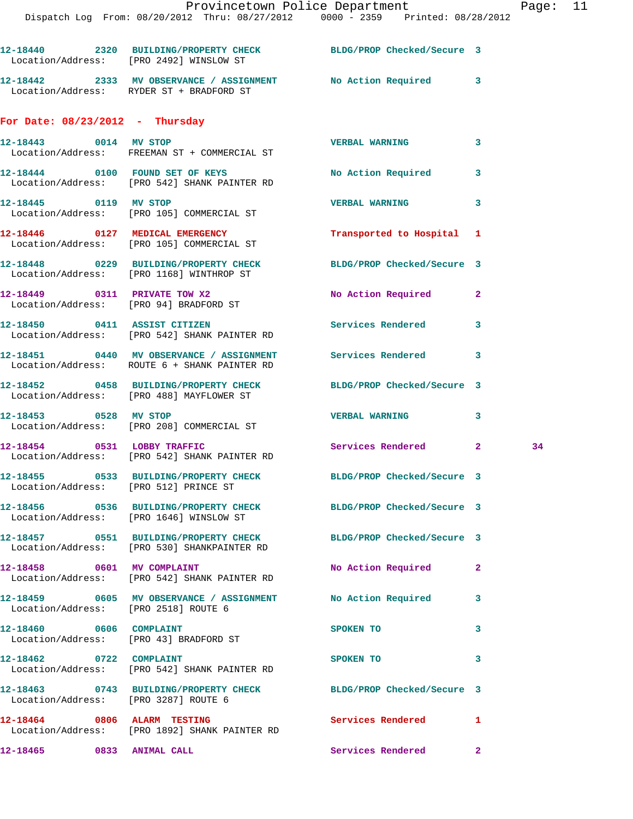|                                                                   | 12-18440 2320 BUILDING/PROPERTY CHECK BLDG/PROP Checked/Secure 3<br>Location/Address: [PRO 2492] WINSLOW ST     |                            |   |    |
|-------------------------------------------------------------------|-----------------------------------------------------------------------------------------------------------------|----------------------------|---|----|
|                                                                   | 12-18442 2333 MV OBSERVANCE / ASSIGNMENT No Action Required 3<br>Location/Address: RYDER ST + BRADFORD ST       |                            |   |    |
| For Date: $08/23/2012$ - Thursday                                 |                                                                                                                 |                            |   |    |
|                                                                   | 12-18443 0014 MV STOP<br>Location/Address: FREEMAN ST + COMMERCIAL ST                                           | <b>VERBAL WARNING</b>      | 3 |    |
|                                                                   | 12-18444 0100 FOUND SET OF KEYS<br>Location/Address: [PRO 542] SHANK PAINTER RD                                 | No Action Required 3       |   |    |
|                                                                   | 12-18445 0119 MV STOP<br>Location/Address: [PRO 105] COMMERCIAL ST                                              | <b>VERBAL WARNING</b>      | 3 |    |
|                                                                   | 12-18446 0127 MEDICAL EMERGENCY<br>Location/Address: [PRO 105] COMMERCIAL ST                                    | Transported to Hospital 1  |   |    |
|                                                                   | 12-18448 0229 BUILDING/PROPERTY CHECK BLDG/PROP Checked/Secure 3<br>Location/Address: [PRO 1168] WINTHROP ST    |                            |   |    |
|                                                                   | 12-18449 0311 PRIVATE TOW X2<br>Location/Address: [PRO 94] BRADFORD ST                                          | No Action Required 2       |   |    |
|                                                                   | 12-18450 0411 ASSIST CITIZEN<br>Location/Address: [PRO 542] SHANK PAINTER RD                                    | Services Rendered          | 3 |    |
|                                                                   | 12-18451 0440 MV OBSERVANCE / ASSIGNMENT Services Rendered 3<br>Location/Address: ROUTE 6 + SHANK PAINTER RD    |                            |   |    |
|                                                                   | 12-18452 0458 BUILDING/PROPERTY CHECK<br>Location/Address: [PRO 488] MAYFLOWER ST                               | BLDG/PROP Checked/Secure 3 |   |    |
| 12-18453 0528 MV STOP                                             | Location/Address: [PRO 208] COMMERCIAL ST                                                                       | <b>VERBAL WARNING</b>      | 3 |    |
|                                                                   | 12-18454 0531 LOBBY TRAFFIC<br>Location/Address: [PRO 542] SHANK PAINTER RD                                     | Services Rendered 2        |   | 34 |
| Location/Address: [PRO 512] PRINCE ST                             | 12-18455 0533 BUILDING/PROPERTY CHECK BLDG/PROP Checked/Secure 3                                                |                            |   |    |
|                                                                   | 12-18456 0536 BUILDING/PROPERTY CHECK BLDG/PROP Checked/Secure 3<br>Location/Address: [PRO 1646] WINSLOW ST     |                            |   |    |
|                                                                   | 12-18457 0551 BUILDING/PROPERTY CHECK BLDG/PROP Checked/Secure 3<br>Location/Address: [PRO 530] SHANKPAINTER RD |                            |   |    |
|                                                                   | 12-18458 0601 MV COMPLAINT<br>Location/Address: [PRO 542] SHANK PAINTER RD                                      | No Action Required         | 2 |    |
| Location/Address: [PRO 2518] ROUTE 6                              | 12-18459 0605 MV OBSERVANCE / ASSIGNMENT No Action Required                                                     |                            | 3 |    |
| 12-18460 0606 COMPLAINT<br>Location/Address: [PRO 43] BRADFORD ST |                                                                                                                 | SPOKEN TO                  | 3 |    |
| 12-18462 0722 COMPLAINT                                           | Location/Address: [PRO 542] SHANK PAINTER RD                                                                    | SPOKEN TO                  | 3 |    |
| Location/Address: [PRO 3287] ROUTE 6                              | 12-18463 0743 BUILDING/PROPERTY CHECK BLDG/PROP Checked/Secure 3                                                |                            |   |    |
| 12-18464 0806 ALARM TESTING                                       | Location/Address: [PRO 1892] SHANK PAINTER RD                                                                   | Services Rendered          | 1 |    |
| 12-18465 0833 ANIMAL CALL                                         |                                                                                                                 | Services Rendered 2        |   |    |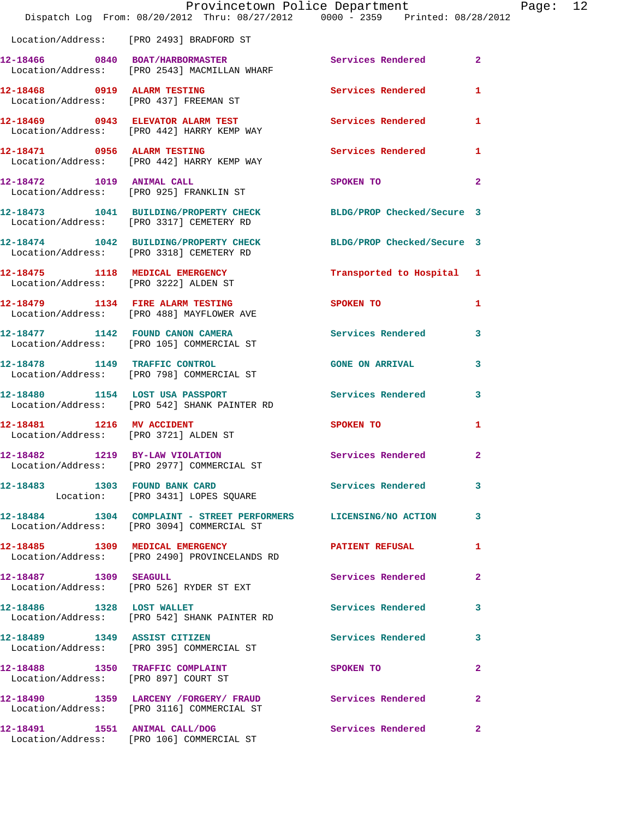|                                                                                                                 | Provincetown Police Department | Page: 12       |
|-----------------------------------------------------------------------------------------------------------------|--------------------------------|----------------|
| Dispatch Log From: 08/20/2012 Thru: 08/27/2012   0000 - 2359   Printed: 08/28/2012                              |                                |                |
| Location/Address: [PRO 2493] BRADFORD ST                                                                        |                                |                |
| 12-18466 0840 BOAT/HARBORMASTER Services Rendered<br>Location/Address: [PRO 2543] MACMILLAN WHARF               |                                | $\overline{2}$ |
| 12-18468 0919 ALARM TESTING<br>Location/Address: [PRO 437] FREEMAN ST                                           | Services Rendered              | $\mathbf{1}$   |
| 12-18469 0943 ELEVATOR ALARM TEST Services Rendered 1<br>Location/Address: [PRO 442] HARRY KEMP WAY             |                                |                |
| 12-18471 0956 ALARM TESTING<br>Location/Address: [PRO 442] HARRY KEMP WAY                                       | Services Rendered 1            |                |
| 12-18472 1019 ANIMAL CALL<br>Location/Address: [PRO 925] FRANKLIN ST                                            | SPOKEN TO                      | $\overline{2}$ |
| 12-18473 1041 BUILDING/PROPERTY CHECK BLDG/PROP Checked/Secure 3<br>Location/Address: [PRO 3317] CEMETERY RD    |                                |                |
| 12-18474 1042 BUILDING/PROPERTY CHECK BLDG/PROP Checked/Secure 3<br>Location/Address: [PRO 3318] CEMETERY RD    |                                |                |
| 12-18475 1118 MEDICAL EMERGENCY<br>Location/Address: [PRO 3222] ALDEN ST                                        | Transported to Hospital 1      |                |
| 12-18479 1134 FIRE ALARM TESTING<br>Location/Address: [PRO 488] MAYFLOWER AVE                                   | <b>SPOKEN TO</b>               | 1              |
| 12-18477 1142 FOUND CANON CAMERA<br>Location/Address: [PRO 105] COMMERCIAL ST                                   | Services Rendered 3            |                |
| 12-18478 1149 TRAFFIC CONTROL<br>Location/Address: [PRO 798] COMMERCIAL ST                                      | <b>GONE ON ARRIVAL</b>         | 3              |
| 12-18480 1154 LOST USA PASSPORT Services Rendered 3<br>Location/Address: [PRO 542] SHANK PAINTER RD             |                                |                |
| 12-18481 1216 MV ACCIDENT<br>Location/Address: [PRO 3721] ALDEN ST                                              | SPOKEN TO                      | 1              |
| 12-18482 1219 BY-LAW VIOLATION Services Rendered 2<br>Location/Address: [PRO 2977] COMMERCIAL ST                |                                |                |
| 12-18483 1303 FOUND BANK CARD Services Rendered 3<br>Location: [PRO 3431] LOPES SQUARE                          |                                |                |
| 12-18484 1304 COMPLAINT - STREET PERFORMERS LICENSING/NO ACTION 3<br>Location/Address: [PRO 3094] COMMERCIAL ST |                                |                |
| 12-18485 1309 MEDICAL EMERGENCY NEWSPATIENT REFUSAL<br>Location/Address: [PRO 2490] PROVINCELANDS RD            |                                | $\mathbf{1}$   |
| 12-18487 1309 SEAGULL<br>Location/Address: [PRO 526] RYDER ST EXT                                               | Services Rendered              | $\mathbf{2}$   |
| 12-18486 1328 LOST WALLET<br>Location/Address: [PRO 542] SHANK PAINTER RD                                       | Services Rendered              | 3              |
| 12-18489 1349 ASSIST CITIZEN<br>Location/Address: [PRO 395] COMMERCIAL ST                                       | Services Rendered 3            |                |
| 12-18488 1350 TRAFFIC COMPLAINT<br>Location/Address: [PRO 897] COURT ST                                         | SPOKEN TO                      | $\mathbf{2}$   |
| 12-18490 1359 LARCENY /FORGERY / FRAUD Services Rendered 2<br>Location/Address: [PRO 3116] COMMERCIAL ST        |                                |                |
| 12-18491 1551 ANIMAL CALL/DOG<br>Location/Address: [PRO 106] COMMERCIAL ST                                      | Services Rendered              | $\mathbf{2}$   |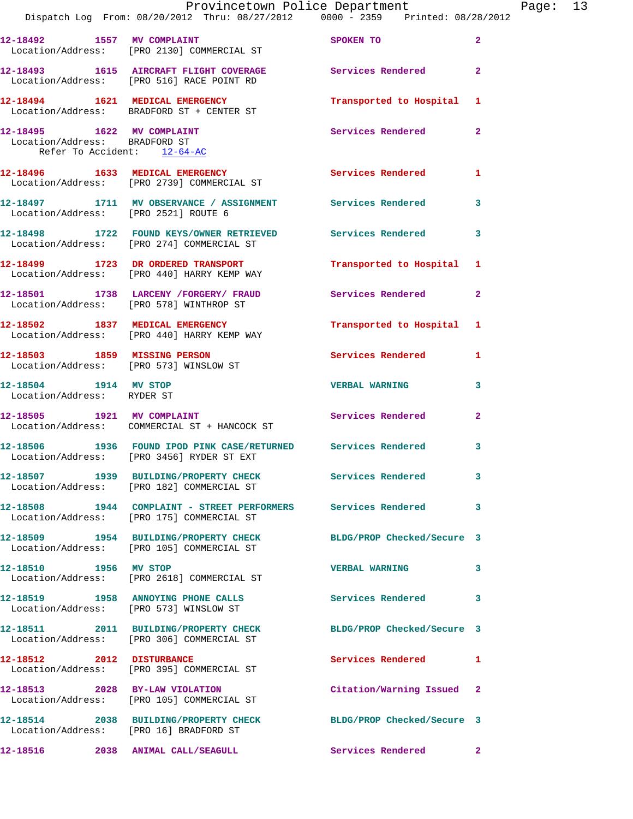|                                                                                                | Dispatch Log From: 08/20/2012 Thru: 08/27/2012   0000 - 2359   Printed: 08/28/2012                            | Provincetown Police Department Page: 13 |              |
|------------------------------------------------------------------------------------------------|---------------------------------------------------------------------------------------------------------------|-----------------------------------------|--------------|
|                                                                                                | 12-18492 1557 MV COMPLAINT SPOKEN TO<br>Location/Address: [PRO 2130] COMMERCIAL ST                            |                                         | $\mathbf{2}$ |
|                                                                                                | 12-18493 1615 AIRCRAFT FLIGHT COVERAGE Services Rendered<br>Location/Address: [PRO 516] RACE POINT RD         |                                         | $\mathbf{2}$ |
|                                                                                                | 12-18494 1621 MEDICAL EMERGENCY<br>Location/Address: BRADFORD ST + CENTER ST                                  | Transported to Hospital 1               |              |
| $12-18495$ $1622$ MV COMPLAINT<br>Location/Address: BRADFORD ST<br>Refer To Accident: 12-64-AC |                                                                                                               | Services Rendered                       | $\mathbf{2}$ |
|                                                                                                | 12-18496 1633 MEDICAL EMERGENCY 1 Services Rendered 1<br>Location/Address: [PRO 2739] COMMERCIAL ST           |                                         |              |
| Location/Address: [PRO 2521] ROUTE 6                                                           | 12-18497 1711 MV OBSERVANCE / ASSIGNMENT Services Rendered                                                    |                                         | 3            |
|                                                                                                | 12-18498 1722 FOUND KEYS/OWNER RETRIEVED Services Rendered 3<br>Location/Address: [PRO 274] COMMERCIAL ST     |                                         |              |
|                                                                                                | 12-18499 1723 DR ORDERED TRANSPORT<br>Location/Address: [PRO 440] HARRY KEMP WAY                              | Transported to Hospital 1               |              |
|                                                                                                | 12-18501 1738 LARCENY /FORGERY/ FRAUD Services Rendered<br>Location/Address: [PRO 578] WINTHROP ST            |                                         | $\mathbf{2}$ |
|                                                                                                | 12-18502 1837 MEDICAL EMERGENCY<br>Location/Address: [PRO 440] HARRY KEMP WAY                                 | Transported to Hospital 1               |              |
|                                                                                                | 12-18503 1859 MISSING PERSON<br>Location/Address: [PRO 573] WINSLOW ST                                        | Services Rendered 1                     |              |
| 12-18504 1914 MV STOP<br>Location/Address: RYDER ST                                            |                                                                                                               | <b>VERBAL WARNING</b>                   | 3            |
|                                                                                                | 12-18505 1921 MV COMPLAINT<br>Location/Address: COMMERCIAL ST + HANCOCK ST                                    | Services Rendered                       | $\mathbf{2}$ |
|                                                                                                | 12-18506 1936 FOUND IPOD PINK CASE/RETURNED Services Rendered<br>Location/Address: [PRO 3456] RYDER ST EXT    |                                         | 3            |
|                                                                                                | 12-18507 1939 BUILDING/PROPERTY CHECK Services Rendered<br>Location/Address: [PRO 182] COMMERCIAL ST          |                                         | 3            |
|                                                                                                | 12-18508 1944 COMPLAINT - STREET PERFORMERS Services Rendered<br>Location/Address: [PRO 175] COMMERCIAL ST    |                                         | 3            |
|                                                                                                | 12-18509 1954 BUILDING/PROPERTY CHECK BLDG/PROP Checked/Secure 3<br>Location/Address: [PRO 105] COMMERCIAL ST |                                         |              |
|                                                                                                | 12-18510 1956 MV STOP<br>Location/Address: [PRO 2618] COMMERCIAL ST                                           | <b>VERBAL WARNING</b>                   | 3            |
|                                                                                                | 12-18519 1958 ANNOYING PHONE CALLS Services Rendered 3<br>Location/Address: [PRO 573] WINSLOW ST              |                                         |              |
|                                                                                                | 12-18511 2011 BUILDING/PROPERTY CHECK BLDG/PROP Checked/Secure 3<br>Location/Address: [PRO 306] COMMERCIAL ST |                                         |              |
| 12-18512 2012 DISTURBANCE                                                                      | Location/Address: [PRO 395] COMMERCIAL ST                                                                     | Services Rendered 1                     |              |
|                                                                                                | 12-18513 2028 BY-LAW VIOLATION<br>Location/Address: [PRO 105] COMMERCIAL ST                                   | Citation/Warning Issued 2               |              |
| Location/Address: [PRO 16] BRADFORD ST                                                         | 12-18514 2038 BUILDING/PROPERTY CHECK BLDG/PROP Checked/Secure 3                                              |                                         |              |
|                                                                                                | 12-18516 2038 ANIMAL CALL/SEAGULL                                                                             | Services Rendered                       | $\mathbf{2}$ |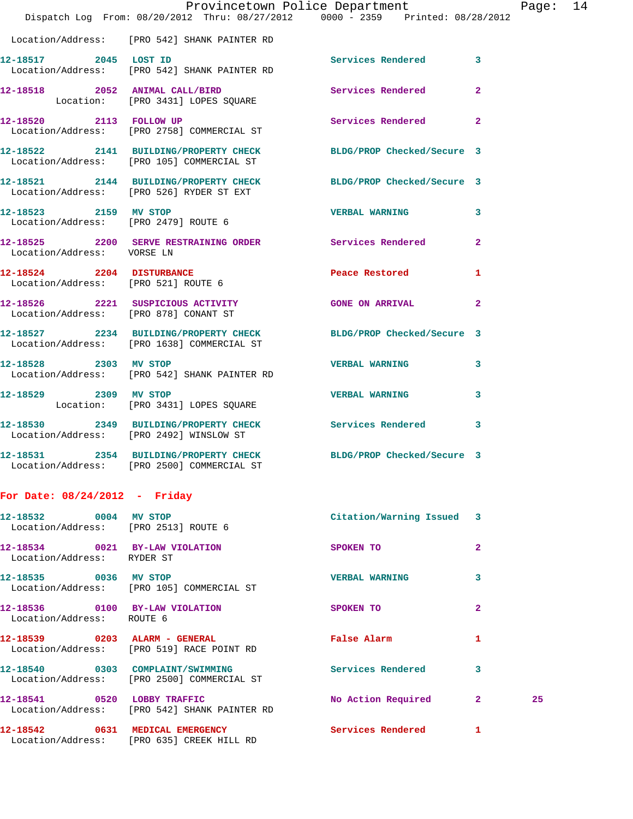|                                                               | Dispatch Log From: 08/20/2012 Thru: 08/27/2012 0000 - 2359 Printed: 08/28/2012                                 | Provincetown Police Department Page: 14 |              |
|---------------------------------------------------------------|----------------------------------------------------------------------------------------------------------------|-----------------------------------------|--------------|
|                                                               | Location/Address: [PRO 542] SHANK PAINTER RD                                                                   |                                         |              |
|                                                               | 12-18517 2045 LOST ID Services Rendered 3<br>Location/Address: [PRO 542] SHANK PAINTER RD                      |                                         |              |
|                                                               | 12-18518  2052  ANIMAL CALL/BIRD  Services Rendered  2<br>Location: [PRO 3431] LOPES SQUARE                    |                                         |              |
|                                                               | 12-18520 2113 FOLLOW UP<br>Location/Address: [PRO 2758] COMMERCIAL ST                                          | Services Rendered 2                     |              |
|                                                               | 12-18522 2141 BUILDING/PROPERTY CHECK BLDG/PROP Checked/Secure 3<br>Location/Address: [PRO 105] COMMERCIAL ST  |                                         |              |
|                                                               | 12-18521 2144 BUILDING/PROPERTY CHECK BLDG/PROP Checked/Secure 3<br>Location/Address: [PRO 526] RYDER ST EXT   |                                         |              |
| 12-18523 2159 MV STOP                                         | Location/Address: [PRO 2479] ROUTE 6                                                                           | <b>VERBAL WARNING</b> 3                 |              |
| Location/Address: VORSE LN                                    | 12-18525 2200 SERVE RESTRAINING ORDER Services Rendered 2                                                      |                                         |              |
| 12-18524 2204 DISTURBANCE                                     | Location/Address: [PRO 521] ROUTE 6                                                                            | Peace Restored 1                        |              |
|                                                               | 12-18526 2221 SUSPICIOUS ACTIVITY CONE ON ARRIVAL 2<br>Location/Address: [PRO 878] CONANT ST                   |                                         |              |
|                                                               | 12-18527 2234 BUILDING/PROPERTY CHECK BLDG/PROP Checked/Secure 3<br>Location/Address: [PRO 1638] COMMERCIAL ST |                                         |              |
|                                                               | 12-18528 2303 MV STOP<br>Location/Address: [PRO 542] SHANK PAINTER RD                                          | VERBAL WARNING 3                        |              |
| 12-18529 2309 MV STOP                                         | Location: [PRO 3431] LOPES SQUARE                                                                              | VERBAL WARNING 3                        |              |
|                                                               | 12-18530 2349 BUILDING/PROPERTY CHECK Services Rendered 3<br>Location/Address: [PRO 2492] WINSLOW ST           |                                         |              |
|                                                               | 12-18531 2354 BUILDING/PROPERTY CHECK<br>Location/Address: [PRO 2500] COMMERCIAL ST                            | BLDG/PROP Checked/Secure 3              |              |
| For Date: $08/24/2012$ - Friday                               |                                                                                                                |                                         |              |
| 12-18532 0004 MV STOP<br>Location/Address: [PRO 2513] ROUTE 6 |                                                                                                                | Citation/Warning Issued 3               |              |
| 12-18534 0021 BY-LAW VIOLATION<br>Location/Address: RYDER ST  |                                                                                                                | SPOKEN TO                               | $\mathbf{2}$ |
| 12-18535 0036 MV STOP                                         | Location/Address: [PRO 105] COMMERCIAL ST                                                                      | <b>VERBAL WARNING</b>                   | 3            |

Location/Address: ROUTE 6

**12-18539 0203 ALARM - GENERAL False Alarm 1**  Location/Address: [PRO 519] RACE POINT RD

Location/Address: [PRO 635] CREEK HILL RD

Location/Address: [PRO 2500] COMMERCIAL ST

12-18541 0520 LOBBY TRAFFIC No Action Required 2 25

Location/Address: [PRO 542] SHANK PAINTER RD

**12-18542 0631 MEDICAL EMERGENCY Services Rendered 1** 

**12-18536 0100 BY-LAW VIOLATION SPOKEN TO 2 12-18540 0303 COMPLAINT/SWIMMING Services Rendered 3**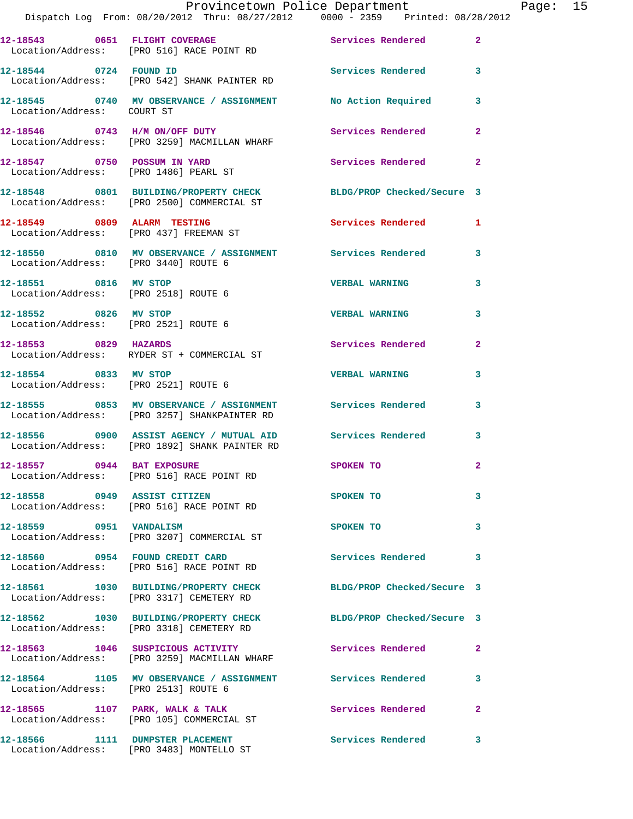|                                                               | Provincetown Police Department<br>Dispatch Log From: 08/20/2012 Thru: 08/27/2012 0000 - 2359 Printed: 08/28/2012 |                            |                |
|---------------------------------------------------------------|------------------------------------------------------------------------------------------------------------------|----------------------------|----------------|
|                                                               | 12-18543 0651 FLIGHT COVERAGE<br>Location/Address: [PRO 516] RACE POINT RD                                       | Services Rendered          | $\mathbf{2}$   |
| 12-18544 0724 FOUND ID                                        | Location/Address: [PRO 542] SHANK PAINTER RD                                                                     | Services Rendered 3        |                |
| Location/Address: COURT ST                                    | 12-18545 0740 MV OBSERVANCE / ASSIGNMENT No Action Required                                                      |                            | 3              |
|                                                               | 12-18546 0743 H/M ON/OFF DUTY<br>Location/Address: [PRO 3259] MACMILLAN WHARF                                    | Services Rendered          | $\overline{2}$ |
|                                                               | 12-18547 0750 POSSUM IN YARD<br>Location/Address: [PRO 1486] PEARL ST                                            | Services Rendered          | $\mathbf{2}$   |
|                                                               | 12-18548 0801 BUILDING/PROPERTY CHECK BLDG/PROP Checked/Secure 3<br>Location/Address: [PRO 2500] COMMERCIAL ST   |                            |                |
|                                                               | 12-18549 0809 ALARM TESTING<br>Location/Address: [PRO 437] FREEMAN ST                                            | Services Rendered 1        |                |
| Location/Address: [PRO 3440] ROUTE 6                          | 12-18550 0810 MV OBSERVANCE / ASSIGNMENT Services Rendered                                                       |                            | 3              |
| 12-18551 0816 MV STOP<br>Location/Address: [PRO 2518] ROUTE 6 |                                                                                                                  | <b>VERBAL WARNING</b>      | 3              |
| Location/Address: [PRO 2521] ROUTE 6                          | 12-18552 0826 MV STOP                                                                                            | <b>VERBAL WARNING</b>      | 3              |
| 12-18553 0829 HAZARDS                                         | Location/Address: RYDER ST + COMMERCIAL ST                                                                       | Services Rendered          | $\mathbf{2}$   |
| 12-18554 0833 MV STOP                                         | Location/Address: [PRO 2521] ROUTE 6                                                                             | <b>VERBAL WARNING</b>      | 3              |
|                                                               | 12-18555 0853 MV OBSERVANCE / ASSIGNMENT Services Rendered<br>Location/Address: [PRO 3257] SHANKPAINTER RD       |                            | 3              |
|                                                               | 12-18556 0900 ASSIST AGENCY / MUTUAL AID Services Rendered<br>Location/Address: [PRO 1892] SHANK PAINTER RD      |                            | 3              |
| 12-18557 0944 BAT EXPOSURE                                    | Location/Address: [PRO 516] RACE POINT RD                                                                        | SPOKEN TO                  | $\mathbf{2}$   |
| 12-18558 0949 ASSIST CITIZEN                                  | Location/Address: [PRO 516] RACE POINT RD                                                                        | SPOKEN TO                  | 3              |
| 12-18559 0951 VANDALISM                                       | Location/Address: [PRO 3207] COMMERCIAL ST                                                                       | SPOKEN TO                  | 3              |
|                                                               | 12-18560 0954 FOUND CREDIT CARD<br>Location/Address: [PRO 516] RACE POINT RD                                     | Services Rendered          | 3              |
|                                                               | 12-18561 1030 BUILDING/PROPERTY CHECK<br>Location/Address: [PRO 3317] CEMETERY RD                                | BLDG/PROP Checked/Secure 3 |                |
|                                                               | 12-18562 1030 BUILDING/PROPERTY CHECK<br>Location/Address: [PRO 3318] CEMETERY RD                                | BLDG/PROP Checked/Secure 3 |                |
|                                                               | 12-18563 1046 SUSPICIOUS ACTIVITY<br>Location/Address: [PRO 3259] MACMILLAN WHARF                                | Services Rendered          | $\mathbf{2}$   |
| Location/Address: [PRO 2513] ROUTE 6                          | 12-18564 1105 MV OBSERVANCE / ASSIGNMENT Services Rendered                                                       |                            | 3              |
|                                                               | 12-18565 1107 PARK, WALK & TALK<br>Location/Address: [PRO 105] COMMERCIAL ST                                     | <b>Services Rendered</b>   | $\mathbf{2}$   |
|                                                               | 12-18566 1111 DUMPSTER PLACEMENT<br>Location/Address: [PRO 3483] MONTELLO ST                                     | Services Rendered          | 3              |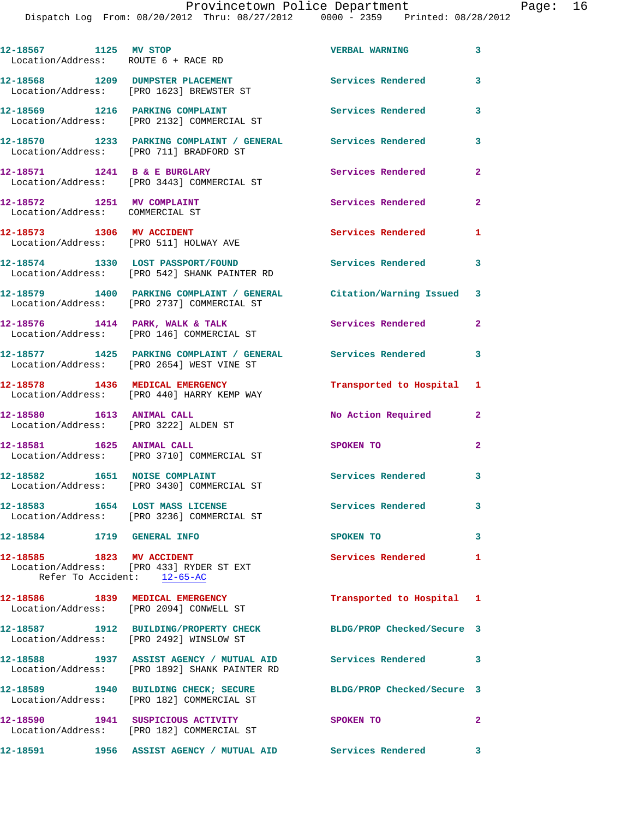| 12-18567 1125 MV STOP<br>Location/Address: ROUTE 6 + RACE RD  |                                                                                                               | <b>VERBAL WARNING</b>      | 3              |
|---------------------------------------------------------------|---------------------------------------------------------------------------------------------------------------|----------------------------|----------------|
|                                                               | 12-18568 1209 DUMPSTER PLACEMENT<br>Location/Address: [PRO 1623] BREWSTER ST                                  | <b>Services Rendered</b>   | 3              |
|                                                               | 12-18569 1216 PARKING COMPLAINT<br>Location/Address: [PRO 2132] COMMERCIAL ST                                 | <b>Services Rendered</b>   | 3              |
|                                                               | 12-18570 1233 PARKING COMPLAINT / GENERAL Services Rendered<br>Location/Address: [PRO 711] BRADFORD ST        |                            | 3              |
| 12-18571 1241 B & E BURGLARY                                  | Location/Address: [PRO 3443] COMMERCIAL ST                                                                    | Services Rendered          | $\overline{a}$ |
| 12-18572 1251 MV COMPLAINT<br>Location/Address: COMMERCIAL ST |                                                                                                               | Services Rendered          | $\mathbf{2}$   |
| 12-18573 1306 MV ACCIDENT                                     | Location/Address: [PRO 511] HOLWAY AVE                                                                        | Services Rendered          | 1              |
|                                                               | 12-18574 1330 LOST PASSPORT/FOUND<br>Location/Address: [PRO 542] SHANK PAINTER RD                             | <b>Services Rendered</b>   | 3              |
|                                                               | 12-18579 1400 PARKING COMPLAINT / GENERAL<br>Location/Address: [PRO 2737] COMMERCIAL ST                       | Citation/Warning Issued 3  |                |
|                                                               | 12-18576 1414 PARK, WALK & TALK<br>Location/Address: [PRO 146] COMMERCIAL ST                                  | Services Rendered          | $\overline{2}$ |
|                                                               | 12-18577 1425 PARKING COMPLAINT / GENERAL Services Rendered 3<br>Location/Address: [PRO 2654] WEST VINE ST    |                            |                |
|                                                               | 12-18578 1436 MEDICAL EMERGENCY<br>Location/Address: [PRO 440] HARRY KEMP WAY                                 | Transported to Hospital 1  |                |
| 12-18580 1613 ANIMAL CALL                                     | Location/Address: [PRO 3222] ALDEN ST                                                                         | No Action Required         | $\mathbf{2}$   |
| 12-18581 1625 ANIMAL CALL                                     | Location/Address: [PRO 3710] COMMERCIAL ST                                                                    | SPOKEN TO                  | $\mathbf{2}$   |
| 12-18582 1651 NOISE COMPLAINT                                 | Location/Address: [PRO 3430] COMMERCIAL ST                                                                    | <b>Services Rendered</b>   | 3              |
|                                                               | 12-18583 1654 LOST MASS LICENSE<br>Location/Address: [PRO 3236] COMMERCIAL ST                                 | Services Rendered          | 3              |
| 12-18584 1719 GENERAL INFO                                    |                                                                                                               | SPOKEN TO                  | 3              |
| 12-18585 1823 MV ACCIDENT<br>Refer To Accident: 12-65-AC      | Location/Address: [PRO 433] RYDER ST EXT                                                                      | Services Rendered 1        |                |
|                                                               | 12-18586 1839 MEDICAL EMERGENCY<br>Location/Address: [PRO 2094] CONWELL ST                                    | Transported to Hospital 1  |                |
|                                                               | 12-18587 1912 BUILDING/PROPERTY CHECK<br>Location/Address: [PRO 2492] WINSLOW ST                              | BLDG/PROP Checked/Secure 3 |                |
|                                                               | 12-18588 1937 ASSIST AGENCY / MUTUAL AID Services Rendered 3<br>Location/Address: [PRO 1892] SHANK PAINTER RD |                            |                |
|                                                               | 12-18589 1940 BUILDING CHECK; SECURE BLDG/PROP Checked/Secure 3<br>Location/Address: [PRO 182] COMMERCIAL ST  |                            |                |
|                                                               | 12-18590 1941 SUSPICIOUS ACTIVITY<br>Location/Address: [PRO 182] COMMERCIAL ST                                | SPOKEN TO                  | $\overline{2}$ |
|                                                               | 12-18591 1956 ASSIST AGENCY / MUTUAL AID Services Rendered                                                    |                            | 3              |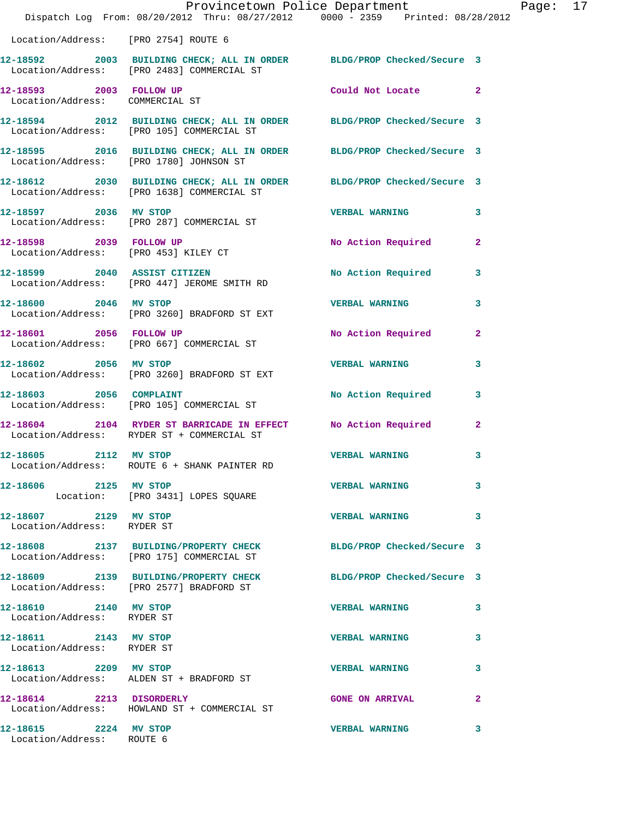|                                                            | Dispatch Log From: 08/20/2012 Thru: 08/27/2012 0000 - 2359 Printed: 08/28/2012                                      | Provincetown Police Department |              | Page: 17 |  |
|------------------------------------------------------------|---------------------------------------------------------------------------------------------------------------------|--------------------------------|--------------|----------|--|
| Location/Address: [PRO 2754] ROUTE 6                       |                                                                                                                     |                                |              |          |  |
|                                                            | 12-18592 2003 BUILDING CHECK; ALL IN ORDER BLDG/PROP Checked/Secure 3<br>Location/Address: [PRO 2483] COMMERCIAL ST |                                |              |          |  |
| 12-18593 2003 FOLLOW UP<br>Location/Address: COMMERCIAL ST |                                                                                                                     | Could Not Locate 2             |              |          |  |
|                                                            | 12-18594 2012 BUILDING CHECK; ALL IN ORDER BLDG/PROP Checked/Secure 3<br>Location/Address: [PRO 105] COMMERCIAL ST  |                                |              |          |  |
|                                                            | 12-18595 2016 BUILDING CHECK; ALL IN ORDER BLDG/PROP Checked/Secure 3<br>Location/Address: [PRO 1780] JOHNSON ST    |                                |              |          |  |
|                                                            | 12-18612 2030 BUILDING CHECK; ALL IN ORDER BLDG/PROP Checked/Secure 3<br>Location/Address: [PRO 1638] COMMERCIAL ST |                                |              |          |  |
|                                                            | 12-18597 2036 MV STOP<br>Location/Address: [PRO 287] COMMERCIAL ST                                                  | VERBAL WARNING 3               |              |          |  |
|                                                            | 12-18598 2039 FOLLOW UP<br>Location/Address: [PRO 453] KILEY CT                                                     | No Action Required             | $\mathbf{2}$ |          |  |
|                                                            | 12-18599 2040 ASSIST CITIZEN<br>Location/Address: [PRO 447] JEROME SMITH RD                                         | No Action Required 3           |              |          |  |
| 12-18600 2046 MV STOP                                      | Location/Address: [PRO 3260] BRADFORD ST EXT                                                                        | <b>VERBAL WARNING</b>          | 3            |          |  |
|                                                            | 12-18601 2056 FOLLOW UP<br>Location/Address: [PRO 667] COMMERCIAL ST                                                | No Action Required 2           |              |          |  |
| 12-18602 2056 MV STOP                                      | Location/Address: [PRO 3260] BRADFORD ST EXT                                                                        | <b>VERBAL WARNING</b>          | 3            |          |  |
| 12-18603 2056 COMPLAINT                                    | Location/Address: [PRO 105] COMMERCIAL ST                                                                           | No Action Required 3           |              |          |  |
|                                                            | 12-18604 2104 RYDER ST BARRICADE IN EFFECT<br>Location/Address: RYDER ST + COMMERCIAL ST                            | No Action Required             | $\mathbf{2}$ |          |  |
| 12-18605 2112 MV STOP                                      | Location/Address: ROUTE 6 + SHANK PAINTER RD                                                                        | <b>VERBAL WARNING</b>          | 3            |          |  |
| 12-18606 2125 MV STOP                                      | Location: [PRO 3431] LOPES SQUARE                                                                                   | <b>VERBAL WARNING</b>          | 3            |          |  |
| 12-18607 2129 MV STOP<br>Location/Address: RYDER ST        |                                                                                                                     | <b>VERBAL WARNING</b>          | 3            |          |  |
|                                                            | 12-18608 2137 BUILDING/PROPERTY CHECK BLDG/PROP Checked/Secure 3<br>Location/Address: [PRO 175] COMMERCIAL ST       |                                |              |          |  |
|                                                            | 12-18609 2139 BUILDING/PROPERTY CHECK<br>Location/Address: [PRO 2577] BRADFORD ST                                   | BLDG/PROP Checked/Secure 3     |              |          |  |
| 12-18610 2140 MV STOP<br>Location/Address: RYDER ST        |                                                                                                                     | <b>VERBAL WARNING</b>          | 3            |          |  |
| 12-18611 2143 MV STOP<br>Location/Address: RYDER ST        |                                                                                                                     | <b>VERBAL WARNING</b>          | 3            |          |  |
| 12-18613 2209 MV STOP                                      | Location/Address: ALDEN ST + BRADFORD ST                                                                            | <b>VERBAL WARNING</b>          | 3            |          |  |
| 12-18614 2213 DISORDERLY                                   | Location/Address: HOWLAND ST + COMMERCIAL ST                                                                        | <b>GONE ON ARRIVAL</b>         | 2            |          |  |
| 12-18615 2224 MV STOP<br>Location/Address: ROUTE 6         |                                                                                                                     | <b>VERBAL WARNING</b>          | 3            |          |  |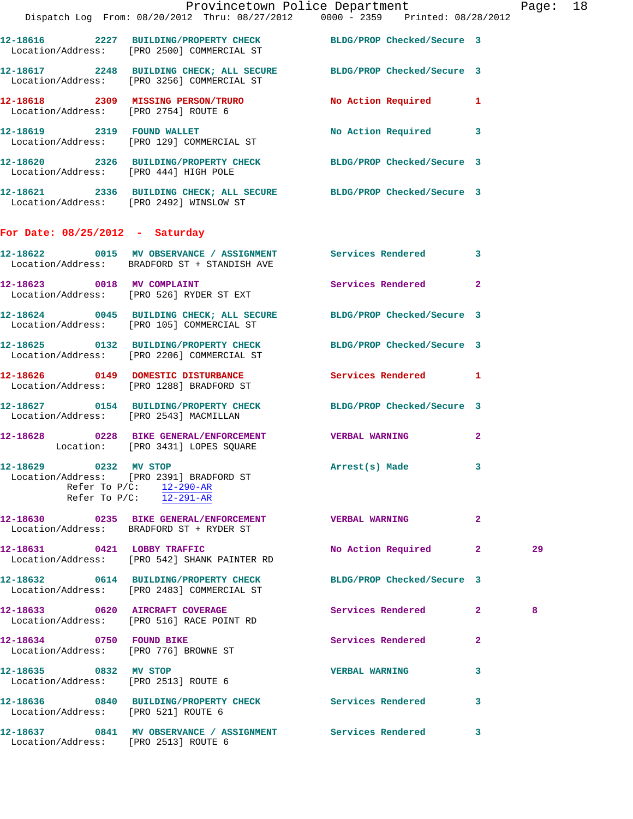|                                                                   |                                                                                                                   | Provincetown Police Department Page: 18 |              |    |  |
|-------------------------------------------------------------------|-------------------------------------------------------------------------------------------------------------------|-----------------------------------------|--------------|----|--|
|                                                                   | Dispatch Log From: 08/20/2012 Thru: 08/27/2012 0000 - 2359 Printed: 08/28/2012                                    |                                         |              |    |  |
|                                                                   | 12-18616 2227 BUILDING/PROPERTY CHECK BLDG/PROP Checked/Secure 3<br>Location/Address: [PRO 2500] COMMERCIAL ST    |                                         |              |    |  |
|                                                                   | 12-18617 2248 BUILDING CHECK; ALL SECURE BLDG/PROP Checked/Secure 3<br>Location/Address: [PRO 3256] COMMERCIAL ST |                                         |              |    |  |
|                                                                   | 12-18618  2309   MISSING PERSON/TRURO   No Action Required   1<br>Location/Address: [PRO 2754] ROUTE 6            |                                         |              |    |  |
|                                                                   | 12-18619 2319 FOUND WALLET<br>Location/Address: [PRO 129] COMMERCIAL ST                                           | No Action Required 3                    |              |    |  |
|                                                                   | 12-18620 2326 BUILDING/PROPERTY CHECK BLDG/PROP Checked/Secure 3<br>Location/Address: [PRO 444] HIGH POLE         |                                         |              |    |  |
|                                                                   | 12-18621 2336 BUILDING CHECK; ALL SECURE BLDG/PROP Checked/Secure 3<br>Location/Address: [PRO 2492] WINSLOW ST    |                                         |              |    |  |
| For Date: $08/25/2012$ - Saturday                                 |                                                                                                                   |                                         |              |    |  |
|                                                                   | 12-18622 0015 MV OBSERVANCE / ASSIGNMENT Services Rendered 3<br>Location/Address: BRADFORD ST + STANDISH AVE      |                                         |              |    |  |
|                                                                   | 12-18623 0018 MV COMPLAINT<br>Location/Address: [PRO 526] RYDER ST EXT                                            | Services Rendered 2                     |              |    |  |
|                                                                   | 12-18624 0045 BUILDING CHECK; ALL SECURE BLDG/PROP Checked/Secure 3<br>Location/Address: [PRO 105] COMMERCIAL ST  |                                         |              |    |  |
|                                                                   | 12-18625 0132 BUILDING/PROPERTY CHECK BLDG/PROP Checked/Secure 3<br>Location/Address: [PRO 2206] COMMERCIAL ST    |                                         |              |    |  |
|                                                                   | 12-18626 0149 DOMESTIC DISTURBANCE Services Rendered 1<br>Location/Address: [PRO 1288] BRADFORD ST                |                                         |              |    |  |
| Location/Address: [PRO 2543] MACMILLAN                            | 12-18627 0154 BUILDING/PROPERTY CHECK BLDG/PROP Checked/Secure 3                                                  |                                         |              |    |  |
|                                                                   | 12-18628 0228 BIKE GENERAL/ENFORCEMENT VERBAL WARNING<br>Location: [PRO 3431] LOPES SQUARE                        |                                         | $\mathbf{2}$ |    |  |
| 12-18629<br>0232 MV STOP                                          | Location/Address: [PRO 2391] BRADFORD ST<br>Refer To $P/C$ : 12-290-AR<br>Refer To $P/C$ : 12-291-AR              | Arrest(s) Made                          | 3            |    |  |
|                                                                   | 12-18630 0235 BIKE GENERAL/ENFORCEMENT VERBAL WARNING<br>Location/Address: BRADFORD ST + RYDER ST                 |                                         | $\mathbf{2}$ |    |  |
| 12-18631 0421 LOBBY TRAFFIC                                       | Location/Address: [PRO 542] SHANK PAINTER RD                                                                      | No Action Required 2                    |              | 29 |  |
|                                                                   | 12-18632 0614 BUILDING/PROPERTY CHECK<br>Location/Address: [PRO 2483] COMMERCIAL ST                               | BLDG/PROP Checked/Secure 3              |              |    |  |
|                                                                   | 12-18633 0620 AIRCRAFT COVERAGE<br>Location/Address: [PRO 516] RACE POINT RD                                      | Services Rendered 2                     |              | 8  |  |
| 12-18634 0750 FOUND BIKE<br>Location/Address: [PRO 776] BROWNE ST |                                                                                                                   | Services Rendered                       | $\mathbf{2}$ |    |  |
| 12-18635 0832 MV STOP                                             | Location/Address: [PRO 2513] ROUTE 6                                                                              | <b>VERBAL WARNING</b>                   | 3            |    |  |
| Location/Address: [PRO 521] ROUTE 6                               | 12-18636 0840 BUILDING/PROPERTY CHECK Services Rendered                                                           |                                         | 3            |    |  |
| Location/Address: [PRO 2513] ROUTE 6                              | 12-18637 0841 MV OBSERVANCE / ASSIGNMENT Services Rendered                                                        |                                         | $\mathbf{3}$ |    |  |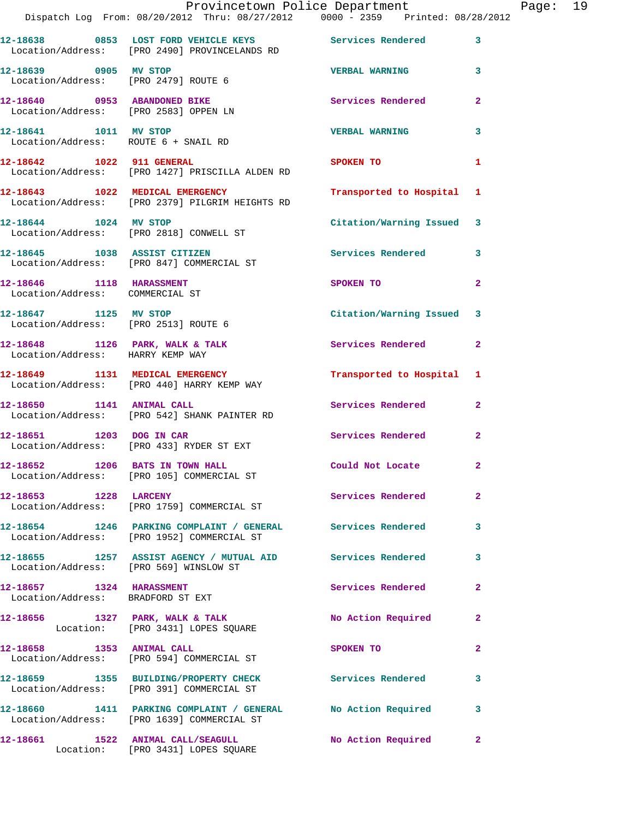|                                                             | Provincetown Police Department The Page: 19<br>Dispatch Log From: 08/20/2012 Thru: 08/27/2012   0000 - 2359   Printed: 08/28/2012 |                                                                                                                 |                |  |
|-------------------------------------------------------------|-----------------------------------------------------------------------------------------------------------------------------------|-----------------------------------------------------------------------------------------------------------------|----------------|--|
|                                                             | 12-18638 0853 LOST FORD VEHICLE KEYS Services Rendered<br>Location/Address: [PRO 2490] PROVINCELANDS RD                           |                                                                                                                 | $\mathbf{3}$   |  |
| 12-18639 0905 MV STOP                                       | Location/Address: [PRO 2479] ROUTE 6                                                                                              | <b>VERBAL WARNING</b> 3                                                                                         |                |  |
|                                                             | 12-18640     0953 ABANDONED BIKE<br>Location/Address:   [PRO 2583] OPPEN LN                                                       | Services Rendered                                                                                               | $\mathbf{2}$   |  |
| Location/Address: ROUTE 6 + SNAIL RD                        | 12-18641 1011 MV STOP                                                                                                             | <b>VERBAL WARNING</b>                                                                                           | 3              |  |
|                                                             | 12-18642 1022 911 GENERAL<br>Location/Address: [PRO 1427] PRISCILLA ALDEN RD                                                      | SPOKEN TO                                                                                                       | 1              |  |
|                                                             | 12-18643 1022 MEDICAL EMERGENCY<br>Location/Address: [PRO 2379] PILGRIM HEIGHTS RD                                                | Transported to Hospital 1                                                                                       |                |  |
|                                                             | 12-18644 1024 MV STOP<br>Location/Address: [PRO 2818] CONWELL ST                                                                  | Citation/Warning Issued 3                                                                                       |                |  |
|                                                             | 12-18645 1038 ASSIST CITIZEN<br>Location/Address: [PRO 847] COMMERCIAL ST                                                         | Services Rendered                                                                                               | 3              |  |
| 12-18646 1118 HARASSMENT<br>Location/Address: COMMERCIAL ST |                                                                                                                                   | SPOKEN TO                                                                                                       | $\overline{2}$ |  |
| Location/Address: [PRO 2513] ROUTE 6                        | 12-18647 1125 MV STOP                                                                                                             | Citation/Warning Issued 3                                                                                       |                |  |
| Location/Address: HARRY KEMP WAY                            | 12-18648 1126 PARK, WALK & TALK 1988 Services Rendered                                                                            |                                                                                                                 | $\mathbf{2}$   |  |
|                                                             | 12-18649 1131 MEDICAL EMERGENCY<br>Location/Address: [PRO 440] HARRY KEMP WAY                                                     | Transported to Hospital 1                                                                                       |                |  |
| 12-18650 1141 ANIMAL CALL                                   | Location/Address: [PRO 542] SHANK PAINTER RD                                                                                      | Services Rendered                                                                                               | $\mathbf{2}$   |  |
|                                                             | 12-18651 1203 DOG IN CAR<br>Location/Address: [PRO 433] RYDER ST EXT                                                              | Services Rendered                                                                                               | $\mathbf{2}$   |  |
|                                                             | 12-18652 1206 BATS IN TOWN HALL<br>Location/Address: [PRO 105] COMMERCIAL ST                                                      | Could Not Locate                                                                                                |                |  |
| 12-18653 1228 LARCENY                                       | Location/Address: [PRO 1759] COMMERCIAL ST                                                                                        | Services Rendered                                                                                               | $\overline{2}$ |  |
|                                                             | 12-18654 1246 PARKING COMPLAINT / GENERAL Services Rendered<br>Location/Address: [PRO 1952] COMMERCIAL ST                         |                                                                                                                 | 3              |  |
| Location/Address: [PRO 569] WINSLOW ST                      | 12-18655 1257 ASSIST AGENCY / MUTUAL AID Services Rendered                                                                        |                                                                                                                 | 3              |  |
| 12-18657 1324 HARASSMENT                                    | Location/Address: BRADFORD ST EXT                                                                                                 | Services Rendered                                                                                               | $\overline{2}$ |  |
|                                                             | 12-18656 1327 PARK, WALK & TALK 1999 No Action Required<br>Location: [PRO 3431] LOPES SQUARE                                      |                                                                                                                 | $\mathbf{2}$   |  |
| 12-18658 1353 ANIMAL CALL                                   | Location/Address: [PRO 594] COMMERCIAL ST                                                                                         | SPOKEN TO THE STRIKE STRIKE STRIKE STRIKE STRIKE STRIKE STRIKE STRIKE STRIKE STRIKE STRIKE STRIKE STRIKE STRIKE | $\overline{2}$ |  |
|                                                             | 12-18659 1355 BUILDING/PROPERTY CHECK Services Rendered<br>Location/Address: [PRO 391] COMMERCIAL ST                              |                                                                                                                 | 3              |  |
|                                                             | 12-18660 1411 PARKING COMPLAINT / GENERAL No Action Required<br>Location/Address: [PRO 1639] COMMERCIAL ST                        |                                                                                                                 | 3              |  |
|                                                             | 12-18661 1522 ANIMAL CALL/SEAGULL No Action Required<br>Location: [PRO 3431] LOPES SQUARE                                         |                                                                                                                 | $\mathbf{2}$   |  |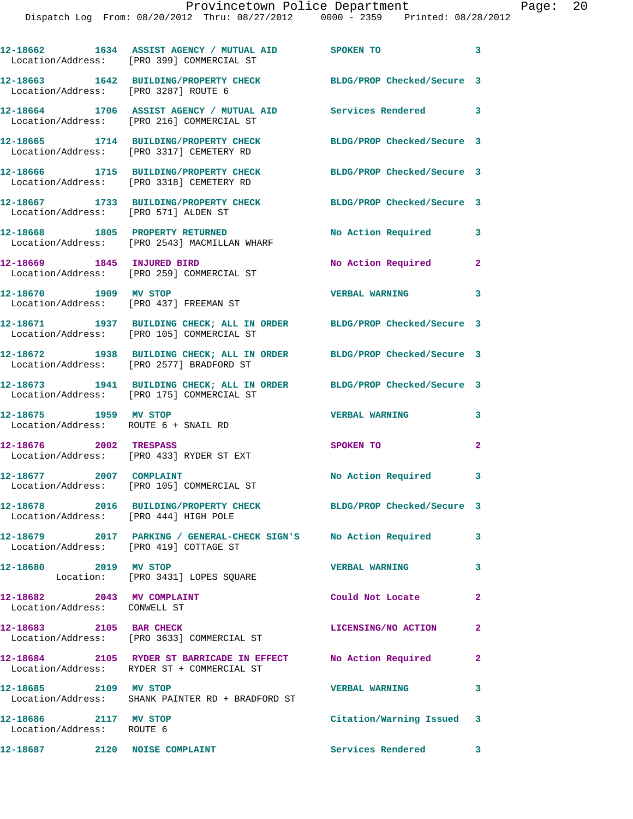|                                                               | 12-18662 1634 ASSIST AGENCY / MUTUAL AID SPOKEN TO<br>Location/Address: [PRO 399] COMMERCIAL ST                    |                            | $\mathbf{3}$   |
|---------------------------------------------------------------|--------------------------------------------------------------------------------------------------------------------|----------------------------|----------------|
| Location/Address: [PRO 3287] ROUTE 6                          | 12-18663 1642 BUILDING/PROPERTY CHECK                                                                              | BLDG/PROP Checked/Secure 3 |                |
|                                                               | 12-18664 1706 ASSIST AGENCY / MUTUAL AID Services Rendered 3<br>Location/Address: [PRO 216] COMMERCIAL ST          |                            |                |
|                                                               | 12-18665 1714 BUILDING/PROPERTY CHECK<br>Location/Address: [PRO 3317] CEMETERY RD                                  | BLDG/PROP Checked/Secure 3 |                |
|                                                               | 12-18666 1715 BUILDING/PROPERTY CHECK<br>Location/Address: [PRO 3318] CEMETERY RD                                  | BLDG/PROP Checked/Secure 3 |                |
| Location/Address: [PRO 571] ALDEN ST                          | 12-18667 1733 BUILDING/PROPERTY CHECK BLDG/PROP Checked/Secure 3                                                   |                            |                |
|                                                               | 12-18668 1805 PROPERTY RETURNED<br>Location/Address: [PRO 2543] MACMILLAN WHARF                                    | No Action Required         | 3              |
| 12-18669 1845 INJURED BIRD                                    | Location/Address: [PRO 259] COMMERCIAL ST                                                                          | No Action Required         | $\mathbf{2}$   |
| 12-18670 1909 MV STOP                                         | Location/Address: [PRO 437] FREEMAN ST                                                                             | <b>VERBAL WARNING</b>      | 3              |
|                                                               | 12-18671 1937 BUILDING CHECK; ALL IN ORDER BLDG/PROP Checked/Secure 3<br>Location/Address: [PRO 105] COMMERCIAL ST |                            |                |
|                                                               | 12-18672 1938 BUILDING CHECK; ALL IN ORDER BLDG/PROP Checked/Secure 3<br>Location/Address: [PRO 2577] BRADFORD ST  |                            |                |
|                                                               | 12-18673 1941 BUILDING CHECK; ALL IN ORDER BLDG/PROP Checked/Secure 3<br>Location/Address: [PRO 175] COMMERCIAL ST |                            |                |
| 12-18675 1959 MV STOP<br>Location/Address: ROUTE 6 + SNAIL RD |                                                                                                                    | <b>VERBAL WARNING</b>      | 3              |
| 12-18676 2002 TRESPASS                                        | Location/Address: [PRO 433] RYDER ST EXT                                                                           | SPOKEN TO                  | $\mathbf{2}$   |
| 12-18677 2007 COMPLAINT                                       | Location/Address: [PRO 105] COMMERCIAL ST                                                                          | No Action Required 3       |                |
| Location/Address: [PRO 444] HIGH POLE                         | 12-18678 2016 BUILDING/PROPERTY CHECK BLDG/PROP Checked/Secure 3                                                   |                            |                |
|                                                               |                                                                                                                    |                            | 3              |
| 12-18680 2019 MV STOP                                         | Location: [PRO 3431] LOPES SQUARE                                                                                  | <b>VERBAL WARNING</b>      | 3              |
| 12-18682 2043 MV COMPLAINT<br>Location/Address: CONWELL ST    |                                                                                                                    | Could Not Locate           | $\overline{2}$ |
| 12-18683 2105 BAR CHECK                                       | Location/Address: [PRO 3633] COMMERCIAL ST                                                                         | LICENSING/NO ACTION        | $\mathbf{2}$   |
|                                                               | 12-18684 2105 RYDER ST BARRICADE IN EFFECT No Action Required<br>Location/Address: RYDER ST + COMMERCIAL ST        |                            | $\overline{2}$ |
| 12-18685 2109 MV STOP                                         | Location/Address: SHANK PAINTER RD + BRADFORD ST                                                                   | <b>VERBAL WARNING</b>      | 3              |
| 12-18686 2117 MV STOP<br>Location/Address: ROUTE 6            |                                                                                                                    | Citation/Warning Issued 3  |                |
| 12-18687 2120 NOISE COMPLAINT                                 |                                                                                                                    | Services Rendered 3        |                |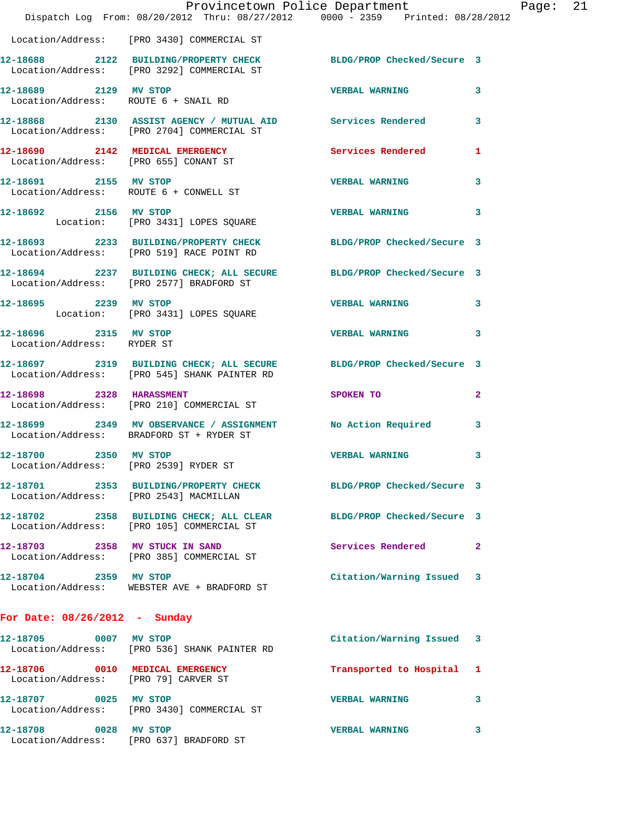|                                                                         | Provincetown Police Department<br>Dispatch Log From: 08/20/2012 Thru: 08/27/2012 0000 - 2359 Printed: 08/28/2012    |                            |   |
|-------------------------------------------------------------------------|---------------------------------------------------------------------------------------------------------------------|----------------------------|---|
|                                                                         | Location/Address: [PRO 3430] COMMERCIAL ST                                                                          |                            |   |
|                                                                         | 12-18688 2122 BUILDING/PROPERTY CHECK<br>Location/Address: [PRO 3292] COMMERCIAL ST                                 | BLDG/PROP Checked/Secure 3 |   |
| 12-18689 2129 MV STOP                                                   | Location/Address: ROUTE 6 + SNAIL RD                                                                                | <b>VERBAL WARNING</b>      | 3 |
|                                                                         | 12-18868 2130 ASSIST AGENCY / MUTUAL AID Services Rendered<br>Location/Address: [PRO 2704] COMMERCIAL ST            |                            | 3 |
| Location/Address: [PRO 655] CONANT ST                                   | 12-18690 2142 MEDICAL EMERGENCY Services Rendered                                                                   |                            | 1 |
| 12-18691 2155 MV STOP                                                   | Location/Address: ROUTE 6 + CONWELL ST                                                                              | <b>VERBAL WARNING</b>      | 3 |
| 12-18692 2156 MV STOP                                                   | Location: [PRO 3431] LOPES SQUARE                                                                                   | <b>VERBAL WARNING</b>      | 3 |
|                                                                         | 12-18693 2233 BUILDING/PROPERTY CHECK BLDG/PROP Checked/Secure 3<br>Location/Address: [PRO 519] RACE POINT RD       |                            |   |
|                                                                         | 12-18694 2237 BUILDING CHECK; ALL SECURE BLDG/PROP Checked/Secure 3<br>Location/Address: [PRO 2577] BRADFORD ST     |                            |   |
| 12-18695 2239 MV STOP                                                   | Location: [PRO 3431] LOPES SQUARE                                                                                   | <b>VERBAL WARNING</b>      | 3 |
| 12-18696 2315 MV STOP<br>Location/Address: RYDER ST                     |                                                                                                                     | <b>VERBAL WARNING</b>      | 3 |
|                                                                         | 12-18697 2319 BUILDING CHECK; ALL SECURE BLDG/PROP Checked/Secure 3<br>Location/Address: [PRO 545] SHANK PAINTER RD |                            |   |
|                                                                         | 12-18698 2328 HARASSMENT<br>Location/Address: [PRO 210] COMMERCIAL ST                                               | SPOKEN TO                  | 2 |
|                                                                         | 12-18699 2349 MV OBSERVANCE / ASSIGNMENT No Action Required<br>Location/Address: BRADFORD ST + RYDER ST             |                            | 3 |
| 12-18700 2350 MV STOP<br>Location/Address: [PRO 2539] RYDER ST          |                                                                                                                     | <b>VERBAL WARNING</b>      | 3 |
|                                                                         | 12-18701 2353 BUILDING/PROPERTY CHECK BLDG/PROP Checked/Secure 3<br>Location/Address: [PRO 2543] MACMILLAN          |                            |   |
|                                                                         | 12-18702 2358 BUILDING CHECK; ALL CLEAR<br>Location/Address: [PRO 105] COMMERCIAL ST                                | BLDG/PROP Checked/Secure 3 |   |
| 12-18703 2358 MV STUCK IN SAND                                          | Location/Address: [PRO 385] COMMERCIAL ST                                                                           | Services Rendered          | 2 |
| 12-18704 2359 MV STOP                                                   | Location/Address: WEBSTER AVE + BRADFORD ST                                                                         | Citation/Warning Issued    | 3 |
| For Date: $08/26/2012$ - Sunday                                         |                                                                                                                     |                            |   |
| 12-18705 0007 MV STOP                                                   | Location/Address: [PRO 536] SHANK PAINTER RD                                                                        | Citation/Warning Issued    | 3 |
| 12-18706 0010 MEDICAL EMERGENCY<br>Location/Address: [PRO 79] CARVER ST |                                                                                                                     | Transported to Hospital    | ı |
| 12-18707 0025 MV STOP                                                   | Location/Address: [PRO 3430] COMMERCIAL ST                                                                          | <b>VERBAL WARNING</b>      | 3 |
|                                                                         |                                                                                                                     |                            |   |

**12-18708 0028 MV STOP VERBAL WARNING 3**  Location/Address: [PRO 637] BRADFORD ST

Page:  $21$ <br> $12$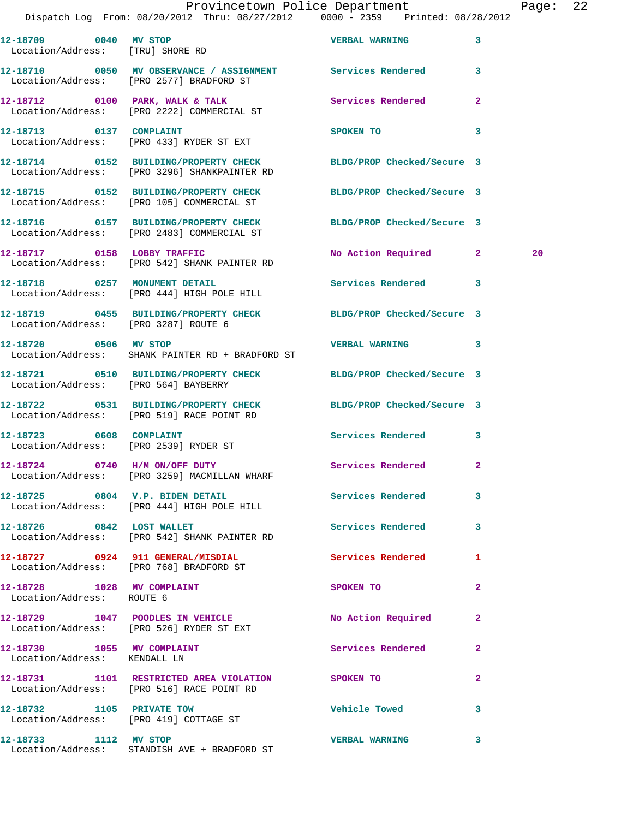**12-18710 0050 MV OBSERVANCE / ASSIGNMENT Services Rendered 3** 

Location/Address: [PRO 3287] ROUTE 6

Location/Address: [PRO 564] BAYBERRY

Location/Address: [PRO 519] RACE POINT RD

Location/Address: [PRO 2539] RYDER ST

**12-18728 1028 MV COMPLAINT SPOKEN TO 2**  Location/Address: ROUTE 6

12-18730 1055 MV COMPLAINT **12-18730** Services Rendered 2 Location/Address: KENDALL LN

 Location/Address: [PRO 2577] BRADFORD ST **12-18712 0100 PARK, WALK & TALK Services Rendered 2**  Location/Address: [PRO 2222] COMMERCIAL ST

**12-18713 0137 COMPLAINT SPOKEN TO 3**  Location/Address: [PRO 433] RYDER ST EXT

**12-18714 0152 BUILDING/PROPERTY CHECK BLDG/PROP Checked/Secure 3**  Location/Address: [PRO 3296] SHANKPAINTER RD

**12-18715 0152 BUILDING/PROPERTY CHECK BLDG/PROP Checked/Secure 3**  Location/Address: [PRO 105] COMMERCIAL ST

Location/Address: [PRO 2483] COMMERCIAL ST

Location/Address: [PRO 542] SHANK PAINTER RD

**12-18718 0257 MONUMENT DETAIL Services Rendered 3**  Location/Address: [PRO 444] HIGH POLE HILL

**12-18719 0455 BUILDING/PROPERTY CHECK BLDG/PROP Checked/Secure 3** 

**12-18720 0506 MV STOP VERBAL WARNING 3**  Location/Address: SHANK PAINTER RD + BRADFORD ST

**12-18721 0510 BUILDING/PROPERTY CHECK BLDG/PROP Checked/Secure 3** 

**12-18722 0531 BUILDING/PROPERTY CHECK BLDG/PROP Checked/Secure 3** 

12-18723 0608 COMPLAINT **Services Rendered** 3

**12-18724 0740 H/M ON/OFF DUTY Services Rendered 2**  Location/Address: [PRO 3259] MACMILLAN WHARF

**12-18725 0804 V.P. BIDEN DETAIL Services Rendered 3**  Location/Address: [PRO 444] HIGH POLE HILL

**12-18726 0842 LOST WALLET Services Rendered 3**  Location/Address: [PRO 542] SHANK PAINTER RD

**12-18727 0924 911 GENERAL/MISDIAL Services Rendered 1**  Location/Address: [PRO 768] BRADFORD ST

**12-18729 1047 POODLES IN VEHICLE No Action Required 2**  Location/Address: [PRO 526] RYDER ST EXT

**12-18731 1101 RESTRICTED AREA VIOLATION SPOKEN TO 2**  Location/Address: [PRO 516] RACE POINT RD

**12-18732 1105 PRIVATE TOW Vehicle Towed 3**  Location/Address: [PRO 419] COTTAGE ST

**12-18733 1112 MV STOP VERBAL WARNING 3**  Location/Address: STANDISH AVE + BRADFORD ST

**12-18716 0157 BUILDING/PROPERTY CHECK BLDG/PROP Checked/Secure 3 12-18717 0158 LOBBY TRAFFIC No Action Required 2 20**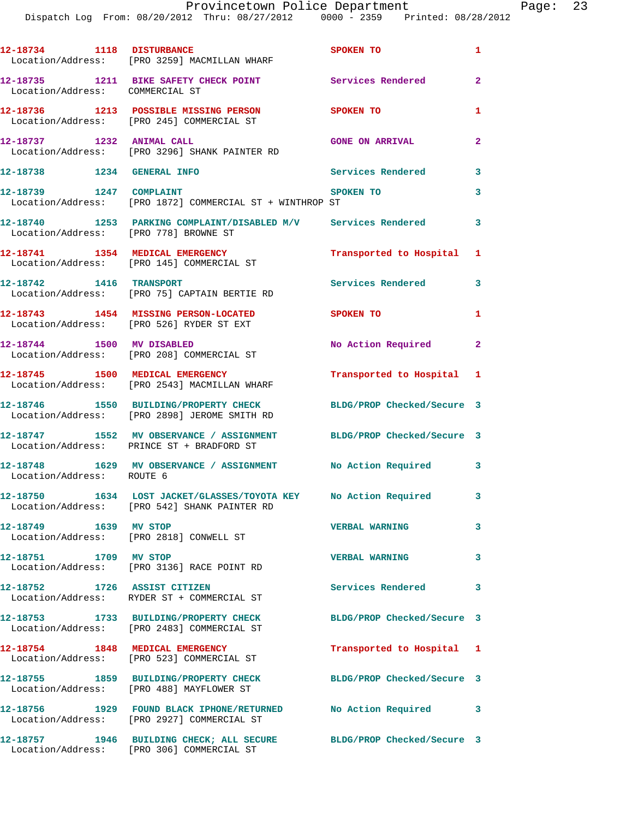| 12-18734 1118 DISTURBANCE             | Location/Address: [PRO 3259] MACMILLAN WHARF                                                                     | SPOKEN TO                  | $\mathbf{1}$   |
|---------------------------------------|------------------------------------------------------------------------------------------------------------------|----------------------------|----------------|
| Location/Address: COMMERCIAL ST       | 12-18735 1211 BIKE SAFETY CHECK POINT                                                                            | Services Rendered          | $\overline{2}$ |
|                                       | 12-18736 1213 POSSIBLE MISSING PERSON<br>Location/Address: [PRO 245] COMMERCIAL ST                               | <b>SPOKEN TO</b>           | $\mathbf{1}$   |
| 12-18737 1232 ANIMAL CALL             | Location/Address: [PRO 3296] SHANK PAINTER RD                                                                    | <b>GONE ON ARRIVAL</b>     | $\overline{a}$ |
| 12-18738 1234 GENERAL INFO            |                                                                                                                  | <b>Services Rendered</b>   | 3              |
| 12-18739 1247 COMPLAINT               | Location/Address: [PRO 1872] COMMERCIAL ST + WINTHROP ST                                                         | SPOKEN TO                  | 3              |
| Location/Address: [PRO 778] BROWNE ST | 12-18740 1253 PARKING COMPLAINT/DISABLED M/V Services Rendered                                                   |                            | 3              |
|                                       | 12-18741 1354 MEDICAL EMERGENCY<br>Location/Address: [PRO 145] COMMERCIAL ST                                     | Transported to Hospital 1  |                |
| 12-18742 1416 TRANSPORT               | Location/Address: [PRO 75] CAPTAIN BERTIE RD                                                                     | Services Rendered          | 3              |
|                                       | 12-18743 1454 MISSING PERSON-LOCATED<br>Location/Address: [PRO 526] RYDER ST EXT                                 | <b>SPOKEN TO</b>           | 1              |
| 12-18744 1500 MV DISABLED             | Location/Address: [PRO 208] COMMERCIAL ST                                                                        | No Action Required 2       |                |
|                                       | 12-18745 1500 MEDICAL EMERGENCY<br>Location/Address: [PRO 2543] MACMILLAN WHARF                                  | Transported to Hospital 1  |                |
|                                       | 12-18746 1550 BUILDING/PROPERTY CHECK<br>Location/Address: [PRO 2898] JEROME SMITH RD                            | BLDG/PROP Checked/Secure 3 |                |
|                                       | 12-18747 1552 MV OBSERVANCE / ASSIGNMENT<br>Location/Address: PRINCE ST + BRADFORD ST                            | BLDG/PROP Checked/Secure 3 |                |
| Location/Address: ROUTE 6             | 12-18748 1629 MV OBSERVANCE / ASSIGNMENT No Action Required 3                                                    |                            |                |
|                                       | 12-18750 1634 LOST JACKET/GLASSES/TOYOTA KEY No Action Required<br>Location/Address: [PRO 542] SHANK PAINTER RD  |                            | 3              |
| 12-18749 1639 MV STOP                 | Location/Address: [PRO 2818] CONWELL ST                                                                          | <b>VERBAL WARNING</b>      | 3              |
| 12-18751 1709 MV STOP                 | Location/Address: [PRO 3136] RACE POINT RD                                                                       | <b>VERBAL WARNING</b>      | 3              |
| 12-18752 1726 ASSIST CITIZEN          | Location/Address: RYDER ST + COMMERCIAL ST                                                                       | <b>Services Rendered</b>   | 3              |
|                                       | 12-18753 1733 BUILDING/PROPERTY CHECK<br>Location/Address: [PRO 2483] COMMERCIAL ST                              | BLDG/PROP Checked/Secure 3 |                |
|                                       | 12-18754 1848 MEDICAL EMERGENCY<br>Location/Address: [PRO 523] COMMERCIAL ST                                     | Transported to Hospital 1  |                |
|                                       | 12-18755 1859 BUILDING/PROPERTY CHECK<br>Location/Address: [PRO 488] MAYFLOWER ST                                | BLDG/PROP Checked/Secure 3 |                |
|                                       | 12-18756 1929 FOUND BLACK IPHONE/RETURNED No Action Required 3<br>Location/Address: [PRO 2927] COMMERCIAL ST     |                            |                |
|                                       | 12-18757 1946 BUILDING CHECK; ALL SECURE BLDG/PROP Checked/Secure 3<br>Location/Address: [PRO 306] COMMERCIAL ST |                            |                |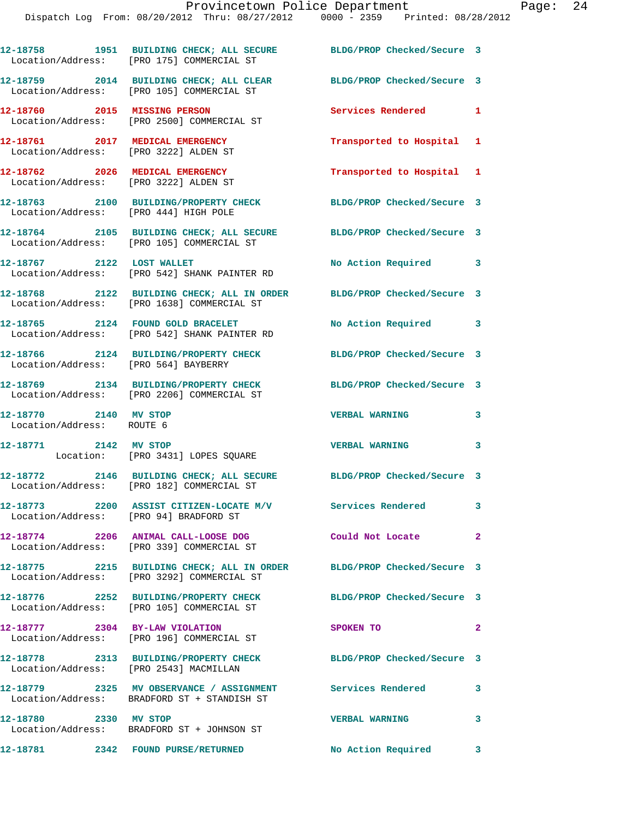|                                                                          | 12-18758 1951 BUILDING CHECK; ALL SECURE BLDG/PROP Checked/Secure 3<br>Location/Address: [PRO 175] COMMERCIAL ST    |                            |              |
|--------------------------------------------------------------------------|---------------------------------------------------------------------------------------------------------------------|----------------------------|--------------|
|                                                                          | 12-18759 2014 BUILDING CHECK; ALL CLEAR BLDG/PROP Checked/Secure 3<br>Location/Address: [PRO 105] COMMERCIAL ST     |                            |              |
|                                                                          | 12-18760 2015 MISSING PERSON<br>Location/Address: [PRO 2500] COMMERCIAL ST                                          | Services Rendered 1        |              |
| 12-18761 2017 MEDICAL EMERGENCY<br>Location/Address: [PRO 3222] ALDEN ST |                                                                                                                     | Transported to Hospital 1  |              |
| 12-18762 2026 MEDICAL EMERGENCY                                          | Location/Address: [PRO 3222] ALDEN ST                                                                               | Transported to Hospital 1  |              |
| Location/Address: [PRO 444] HIGH POLE                                    | 12-18763 2100 BUILDING/PROPERTY CHECK BLDG/PROP Checked/Secure 3                                                    |                            |              |
|                                                                          | 12-18764 2105 BUILDING CHECK; ALL SECURE BLDG/PROP Checked/Secure 3<br>Location/Address: [PRO 105] COMMERCIAL ST    |                            |              |
|                                                                          | 12-18767 2122 LOST WALLET<br>Location/Address: [PRO 542] SHANK PAINTER RD                                           | No Action Required 3       |              |
|                                                                          | 12-18768 2122 BUILDING CHECK; ALL IN ORDER BLDG/PROP Checked/Secure 3<br>Location/Address: [PRO 1638] COMMERCIAL ST |                            |              |
|                                                                          | 12-18765 2124 FOUND GOLD BRACELET<br>Location/Address: [PRO 542] SHANK PAINTER RD                                   | No Action Required 3       |              |
| Location/Address: [PRO 564] BAYBERRY                                     | 12-18766 2124 BUILDING/PROPERTY CHECK BLDG/PROP Checked/Secure 3                                                    |                            |              |
|                                                                          | 12-18769 2134 BUILDING/PROPERTY CHECK BLDG/PROP Checked/Secure 3<br>Location/Address: [PRO 2206] COMMERCIAL ST      |                            |              |
| 12-18770 2140 MV STOP<br>Location/Address: ROUTE 6                       |                                                                                                                     | <b>VERBAL WARNING</b>      | 3            |
| 12-18771 2142 MV STOP                                                    | Location: [PRO 3431] LOPES SQUARE                                                                                   | <b>VERBAL WARNING</b>      | 3            |
|                                                                          | 12-18772 2146 BUILDING CHECK; ALL SECURE BLDG/PROP Checked/Secure 3<br>Location/Address: [PRO 182] COMMERCIAL ST    |                            |              |
| Location/Address: [PRO 94] BRADFORD ST                                   | 12-18773 2200 ASSIST CITIZEN-LOCATE M/V                                                                             | <b>Services Rendered</b>   | 3            |
|                                                                          | 12-18774 2206 ANIMAL CALL-LOOSE DOG<br>Location/Address: [PRO 339] COMMERCIAL ST                                    | Could Not Locate 2         |              |
|                                                                          | 12-18775 2215 BUILDING CHECK; ALL IN ORDER BLDG/PROP Checked/Secure 3<br>Location/Address: [PRO 3292] COMMERCIAL ST |                            |              |
|                                                                          | 12-18776 2252 BUILDING/PROPERTY CHECK<br>Location/Address: [PRO 105] COMMERCIAL ST                                  | BLDG/PROP Checked/Secure 3 |              |
|                                                                          | 12-18777 2304 BY-LAW VIOLATION<br>Location/Address: [PRO 196] COMMERCIAL ST                                         | SPOKEN TO                  | $\mathbf{2}$ |
| Location/Address: [PRO 2543] MACMILLAN                                   | 12-18778 2313 BUILDING/PROPERTY CHECK BLDG/PROP Checked/Secure 3                                                    |                            |              |
|                                                                          | 12-18779 2325 MV OBSERVANCE / ASSIGNMENT Services Rendered<br>Location/Address: BRADFORD ST + STANDISH ST           |                            | 3            |
| 12-18780 2330 MV STOP                                                    | Location/Address: BRADFORD ST + JOHNSON ST                                                                          | <b>VERBAL WARNING</b>      | 3            |
|                                                                          |                                                                                                                     |                            |              |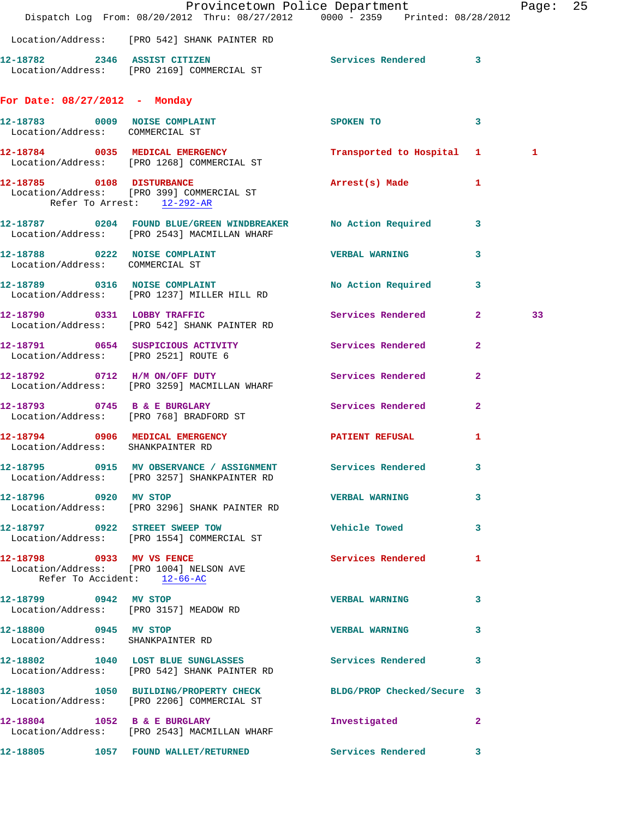|                                                            | Dispatch Log From: 08/20/2012 Thru: 08/27/2012 0000 - 2359 Printed: 08/28/2012                                  | Provincetown Police Department Page: 25 |              |    |  |
|------------------------------------------------------------|-----------------------------------------------------------------------------------------------------------------|-----------------------------------------|--------------|----|--|
|                                                            | Location/Address: [PRO 542] SHANK PAINTER RD                                                                    |                                         |              |    |  |
|                                                            | 12-18782 2346 ASSIST CITIZEN<br>Location/Address: [PRO 2169] COMMERCIAL ST                                      | Services Rendered 3                     |              |    |  |
| For Date: $08/27/2012$ - Monday                            |                                                                                                                 |                                         |              |    |  |
| Location/Address: COMMERCIAL ST                            | 12-18783 0009 NOISE COMPLAINT                                                                                   | SPOKEN TO 3                             |              |    |  |
|                                                            | 12-18784 0035 MEDICAL EMERGENCY<br>Location/Address: [PRO 1268] COMMERCIAL ST                                   | Transported to Hospital 1               |              | 1  |  |
| 12-18785 0108 DISTURBANCE<br>Refer To Arrest: 12-292-AR    | Location/Address: [PRO 399] COMMERCIAL ST                                                                       | Arrest(s) Made 1                        |              |    |  |
|                                                            | 12-18787 0204 FOUND BLUE/GREEN WINDBREAKER No Action Required 3<br>Location/Address: [PRO 2543] MACMILLAN WHARF |                                         |              |    |  |
| Location/Address: COMMERCIAL ST                            | 12-18788 0222 NOISE COMPLAINT                                                                                   | <b>VERBAL WARNING</b>                   | 3            |    |  |
|                                                            | 12-18789 0316 NOISE COMPLAINT<br>Location/Address: [PRO 1237] MILLER HILL RD                                    | No Action Required 3                    |              |    |  |
|                                                            | 12-18790 0331 LOBBY TRAFFIC<br>Location/Address: [PRO 542] SHANK PAINTER RD                                     | Services Rendered 2                     |              | 33 |  |
|                                                            | 12-18791 0654 SUSPICIOUS ACTIVITY Services Rendered<br>Location/Address: [PRO 2521] ROUTE 6                     |                                         | $\mathbf{2}$ |    |  |
|                                                            | 12-18792 0712 H/M ON/OFF DUTY<br>Location/Address: [PRO 3259] MACMILLAN WHARF                                   | Services Rendered                       | $\mathbf{2}$ |    |  |
|                                                            | 12-18793 0745 B & E BURGLARY<br>Location/Address: [PRO 768] BRADFORD ST                                         | Services Rendered                       | $\mathbf{2}$ |    |  |
| Location/Address: SHANKPAINTER RD                          | 12-18794 0906 MEDICAL EMERGENCY <b>STATENT REFUSAL</b>                                                          |                                         | 1            |    |  |
|                                                            | 12-18795 0915 MV OBSERVANCE / ASSIGNMENT<br>Location/Address: [PRO 3257] SHANKPAINTER RD                        | <b>Services Rendered</b>                | 3            |    |  |
| 12-18796 0920 MV STOP                                      | Location/Address: [PRO 3296] SHANK PAINTER RD                                                                   | <b>VERBAL WARNING</b>                   | 3            |    |  |
|                                                            | 12-18797 0922 STREET SWEEP TOW<br>Location/Address: [PRO 1554] COMMERCIAL ST                                    | <b>Vehicle Towed Example 10</b>         | 3            |    |  |
| Refer To Accident: 12-66-AC                                | 12-18798 0933 MV VS FENCE<br>Location/Address: [PRO 1004] NELSON AVE                                            | Services Rendered                       | 1            |    |  |
| 12-18799 0942 MV STOP                                      | Location/Address: [PRO 3157] MEADOW RD                                                                          | <b>VERBAL WARNING</b>                   | 3            |    |  |
| 12-18800 0945 MV STOP<br>Location/Address: SHANKPAINTER RD |                                                                                                                 | <b>VERBAL WARNING</b>                   | 3            |    |  |
|                                                            | 12-18802 1040 LOST BLUE SUNGLASSES Services Rendered 3<br>Location/Address: [PRO 542] SHANK PAINTER RD          |                                         |              |    |  |
|                                                            | 12-18803 1050 BUILDING/PROPERTY CHECK BLDG/PROP Checked/Secure 3<br>Location/Address: [PRO 2206] COMMERCIAL ST  |                                         |              |    |  |
|                                                            | 12-18804 1052 B & E BURGLARY<br>Location/Address: [PRO 2543] MACMILLAN WHARF                                    | Investigated                            | $\mathbf{2}$ |    |  |
|                                                            | 12-18805 1057 FOUND WALLET/RETURNED Services Rendered 3                                                         |                                         |              |    |  |
|                                                            |                                                                                                                 |                                         |              |    |  |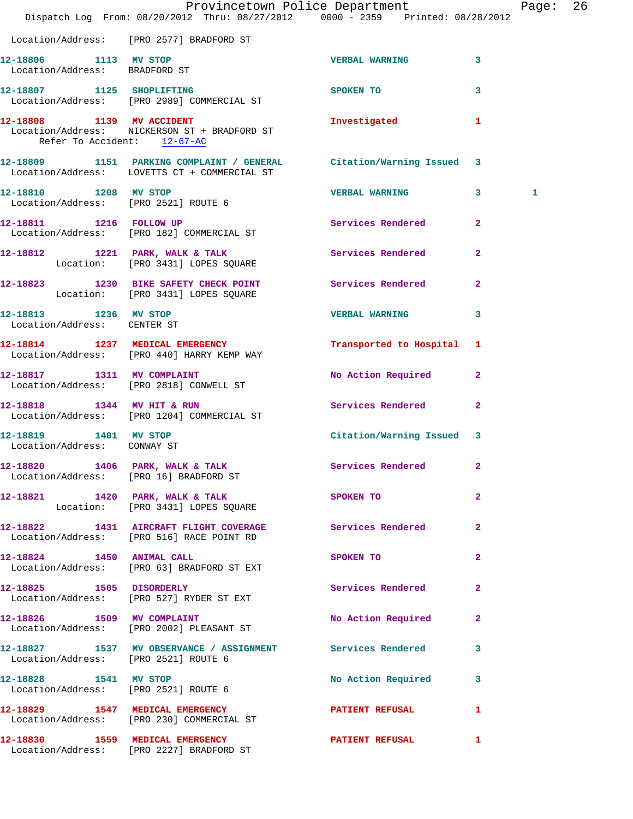|                                                               | Dispatch Log From: $08/20/2012$ Thru: $08/27/2012$ 0000 - 2359 Printed: $08/28/2012$                                | Provincetown Police Department Page: 26 |                |   |  |
|---------------------------------------------------------------|---------------------------------------------------------------------------------------------------------------------|-----------------------------------------|----------------|---|--|
|                                                               | Location/Address: [PRO 2577] BRADFORD ST                                                                            |                                         |                |   |  |
| 12-18806 1113 MV STOP<br>Location/Address: BRADFORD ST        |                                                                                                                     | VERBAL WARNING 3                        |                |   |  |
|                                                               | 12-18807 1125 SHOPLIFTING<br>Location/Address: [PRO 2989] COMMERCIAL ST                                             | SPOKEN TO                               | $\mathbf{3}$   |   |  |
| Refer To Accident: 12-67-AC                                   | 12-18808 1139 MV ACCIDENT<br>Location/Address: NICKERSON ST + BRADFORD ST                                           | Investigated 1                          |                |   |  |
|                                                               | 12-18809 1151 PARKING COMPLAINT / GENERAL Citation/Warning Issued 3<br>Location/Address: LOVETTS CT + COMMERCIAL ST |                                         |                |   |  |
| 12-18810 1208 MV STOP                                         | Location/Address: [PRO 2521] ROUTE 6                                                                                | <b>VERBAL WARNING 3</b>                 |                | 1 |  |
|                                                               | 12-18811 1216 FOLLOW UP<br>Location/Address: [PRO 182] COMMERCIAL ST                                                | Services Rendered                       | $\overline{2}$ |   |  |
|                                                               | 12-18812 1221 PARK, WALK & TALK<br>Location: [PRO 3431] LOPES SQUARE                                                | Services Rendered                       | $\mathbf{2}$   |   |  |
|                                                               | 12-18823 1230 BIKE SAFETY CHECK POINT Services Rendered 2<br>Location: [PRO 3431] LOPES SQUARE                      |                                         |                |   |  |
| 12-18813 1236 MV STOP<br>Location/Address: CENTER ST          |                                                                                                                     | <b>VERBAL WARNING</b>                   | $\mathbf{3}$   |   |  |
|                                                               | 12-18814 1237 MEDICAL EMERGENCY<br>Location/Address: [PRO 440] HARRY KEMP WAY                                       | Transported to Hospital 1               |                |   |  |
|                                                               | 12-18817 1311 MV COMPLAINT<br>Location/Address: [PRO 2818] CONWELL ST                                               | No Action Required 2                    |                |   |  |
| 12-18818 1344 MV HIT & RUN                                    | Location/Address: [PRO 1204] COMMERCIAL ST                                                                          | Services Rendered 2                     |                |   |  |
| 12-18819 1401 MV STOP<br>Location/Address: CONWAY ST          |                                                                                                                     | Citation/Warning Issued 3               |                |   |  |
|                                                               | 12-18820 1406 PARK, WALK & TALK<br>Location/Address: [PRO 16] BRADFORD ST                                           | Services Rendered 2                     |                |   |  |
|                                                               | 12-18821 1420 PARK, WALK & TALK<br>Location: [PRO 3431] LOPES SQUARE                                                | SPOKEN TO                               | $\overline{2}$ |   |  |
|                                                               | 12-18822 1431 AIRCRAFT FLIGHT COVERAGE Services Rendered<br>Location/Address: [PRO 516] RACE POINT RD               |                                         | $\mathbf{2}$   |   |  |
|                                                               | 12-18824 1450 ANIMAL CALL<br>Location/Address: [PRO 63] BRADFORD ST EXT                                             | SPOKEN TO                               | $\overline{2}$ |   |  |
|                                                               | 12-18825 1505 DISORDERLY<br>Location/Address: [PRO 527] RYDER ST EXT                                                | Services Rendered 2                     |                |   |  |
|                                                               | 12-18826 1509 MV COMPLAINT<br>Location/Address: [PRO 2002] PLEASANT ST                                              | No Action Required                      | $\mathbf{2}$   |   |  |
| Location/Address: [PRO 2521] ROUTE 6                          | 12-18827 1537 MV OBSERVANCE / ASSIGNMENT Services Rendered 3                                                        |                                         |                |   |  |
| 12-18828 1541 MV STOP<br>Location/Address: [PRO 2521] ROUTE 6 |                                                                                                                     | No Action Required 3                    |                |   |  |
|                                                               | 12-18829 1547 MEDICAL EMERGENCY<br>Location/Address: [PRO 230] COMMERCIAL ST                                        | PATIENT REFUSAL 1                       |                |   |  |
|                                                               | 12-18830 1559 MEDICAL EMERGENCY 12-18830 PATIENT REFUSAL<br>Location/Address: [PRO 2227] BRADFORD ST                |                                         | $\mathbf{1}$   |   |  |